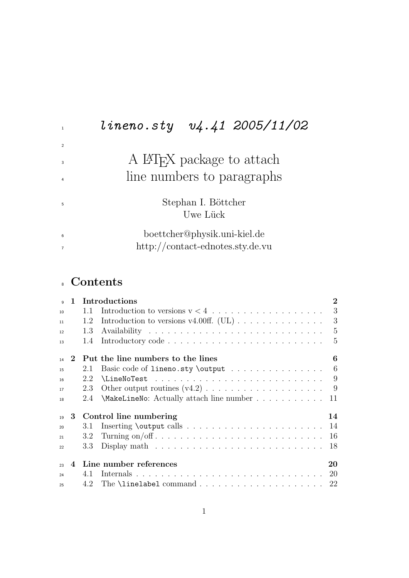# lineno.sty  $v4.41$  2005/11/02  $\,$   $\,$  A IATEX package to attach line numbers to paragraphs Stephan I. Böttcher Uwe Lück boettcher@physik.uni-kiel.de http://contact-ednotes.sty.de.vu

## Contents

| $\alpha$ |                             |     | 1 Introductions                                                               | $\overline{2}$ |
|----------|-----------------------------|-----|-------------------------------------------------------------------------------|----------------|
| 10       |                             | 1.1 |                                                                               | 3              |
| 11       |                             | 1.2 | Introduction to versions v4.00ff. (UL) $\ldots \ldots \ldots \ldots$          | 3              |
| 12       |                             | 1.3 |                                                                               | $-5$           |
| 13       |                             | 1.4 |                                                                               | 5              |
| 14       | $\mathcal{D}_{\mathcal{C}}$ |     | Put the line numbers to the lines                                             | 6              |
| 15       |                             | 2.1 | Basic code of $l$ ineno.sty \output 6                                         |                |
| 16       |                             | 2.2 | $\{\text{LineNoTest} \dots \dots \dots \dots \dots \dots \dots \quad 9$       |                |
| 17       |                             | 2.3 |                                                                               |                |
| 18       |                             | 2.4 | \MakeLineNo: Actually attach line number                                      | 11             |
| 19       | 3                           |     | Control line numbering                                                        | 14             |
| 20       |                             | 3.1 |                                                                               | 14             |
| 21       |                             | 3.2 |                                                                               | 16             |
| 22       |                             | 3.3 | Display math $\ldots \ldots \ldots \ldots \ldots \ldots \ldots \ldots \ldots$ | 18             |
| 23       | $\overline{4}$              |     | Line number references                                                        | 20             |
| 24       |                             | 4.1 |                                                                               |                |
| 25       |                             |     |                                                                               |                |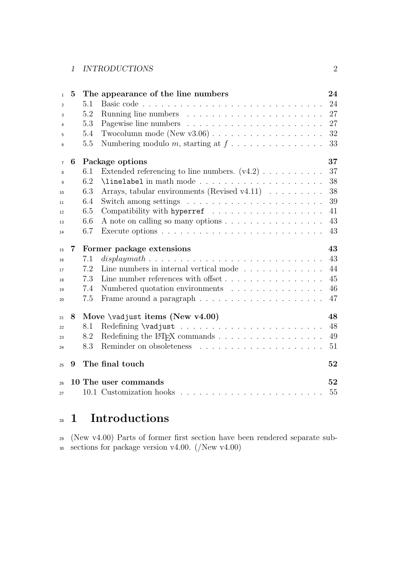| $\mathbf{1}$   | 5 |         | The appearance of the line numbers                                                    | 24 |
|----------------|---|---------|---------------------------------------------------------------------------------------|----|
| $\overline{2}$ |   | 5.1     |                                                                                       | 24 |
| 3              |   | 5.2     |                                                                                       | 27 |
| $\overline{4}$ |   | 5.3     |                                                                                       | 27 |
| 5              |   | 5.4     |                                                                                       | 32 |
| 6              |   | 5.5     | Numbering modulo m, starting at $f \dots \dots \dots \dots \dots$                     | 33 |
| $\overline{7}$ | 6 |         | Package options                                                                       | 37 |
| 8              |   | 6.1     | Extended referencing to line numbers. $(v4.2) \ldots \ldots \ldots$                   | 37 |
| $\mathbf{Q}$   |   | 6.2     |                                                                                       | 38 |
| 10             |   | 6.3     | Arrays, tabular environments (Revised v4.11)                                          | 38 |
| 11             |   | 6.4     |                                                                                       | 39 |
| 12             |   | 6.5     |                                                                                       | 41 |
| 13             |   | $6.6\,$ | A note on calling so many options                                                     | 43 |
| 14             |   | 6.7     | Execute options $\dots \dots \dots \dots \dots \dots \dots \dots \dots \dots \dots$   | 43 |
| 15             | 7 |         | Former package extensions                                                             | 43 |
| 16             |   | 7.1     |                                                                                       | 43 |
| 17             |   | 7.2     | Line numbers in internal vertical mode $\ldots \ldots \ldots \ldots$                  | 44 |
| 18             |   | 7.3     |                                                                                       | 45 |
| 19             |   | 7.4     | Numbered quotation environments                                                       | 46 |
| 20             |   | 7.5     |                                                                                       | 47 |
| 21             | 8 |         | Move \vadjust items (New v4.00)                                                       | 48 |
| 22             |   | 8.1     |                                                                                       | 48 |
| 23             |   | 8.2     | Redefining the L <sup>T</sup> FX commands $\ldots \ldots \ldots \ldots \ldots \ldots$ | 49 |
| 24             |   | 8.3     |                                                                                       | 51 |
| 25             | 9 |         | The final touch                                                                       | 52 |
| 26             |   |         | 10 The user commands                                                                  | 52 |
| 27             |   |         |                                                                                       | 55 |

# <sup>28</sup> 1 Introductions

<sup>29</sup> (New v4.00) Parts of former first section have been rendered separate sub-<sup>30</sup> sections for package version v4.00. (/New v4.00)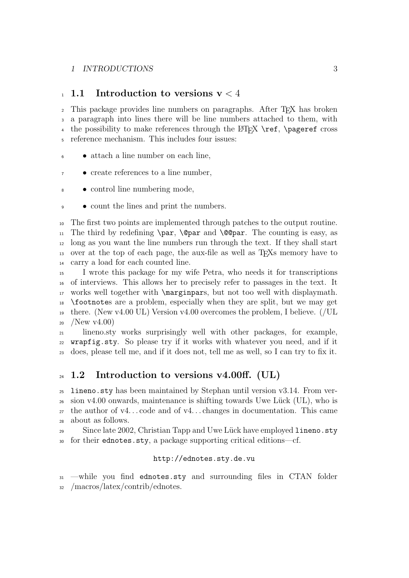### 1 INTRODUCTIONS 3

#### 1 1.1 Introduction to versions  $v < 4$

 This package provides line numbers on paragraphs. After TEX has broken a paragraph into lines there will be line numbers attached to them, with 4 the possibility to make references through the  $\rm ETKX \ref$ ,  $\text{pass}$ reference mechanism. This includes four issues:

- attach a line number on each line,
- create references to a line number,
- control line numbering mode,
- count the lines and print the numbers.

 The first two points are implemented through patches to the output routine. <sup>11</sup> The third by redefining **\par**, **\@par** and **\@@par**. The counting is easy, as long as you want the line numbers run through the text. If they shall start over at the top of each page, the aux-file as well as TEXs memory have to carry a load for each counted line.

 I wrote this package for my wife Petra, who needs it for transcriptions of interviews. This allows her to precisely refer to passages in the text. It works well together with \marginpars, but not too well with displaymath. \footnotes are a problem, especially when they are split, but we may get <sup>19</sup> there. (New v4.00 UL) Version v4.00 overcomes the problem, I believe. (/UL  $20 \quad \text{/New v4.00)}$ 

 lineno.sty works surprisingly well with other packages, for example, wrapfig.sty. So please try if it works with whatever you need, and if it does, please tell me, and if it does not, tell me as well, so I can try to fix it.

## $_{24}$  1.2 Introduction to versions v4.00ff. (UL)

 lineno.sty has been maintained by Stephan until version v3.14. From ver- $_{26}$  sion v4.00 onwards, maintenance is shifting towards Uwe Lück (UL), who is  $_{27}$  the author of v4...code and of v4...changes in documentation. This came about as follows.

29 Since late 2002, Christian Tapp and Uwe Lück have employed lineno.sty for their ednotes.sty, a package supporting critical editions—cf.

#### http://ednotes.sty.de.vu

 —while you find ednotes.sty and surrounding files in CTAN folder /macros/latex/contrib/ednotes.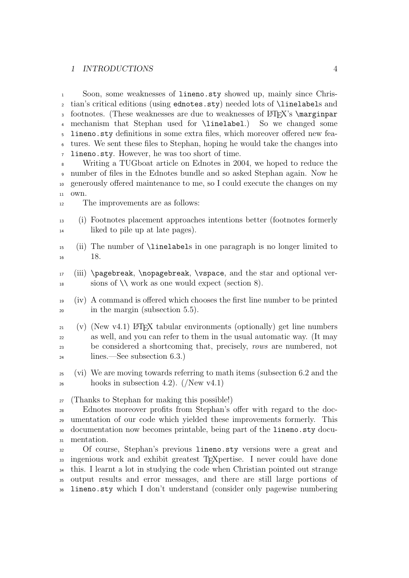#### 1 INTRODUCTIONS 4

 Soon, some weaknesses of lineno.sty showed up, mainly since Chris- tian's critical editions (using ednotes.sty) needed lots of \linelabels and <sup>3</sup> footnotes. (These weaknesses are due to weaknesses of L<sup>AT</sup>EX's \marginpar <br><sup>4</sup> mechanism that Stephan used for \linelabel.) So we changed some 4 mechanism that Stephan used for  $\line{linelabel}$ . lineno.sty definitions in some extra files, which moreover offered new fea- tures. We sent these files to Stephan, hoping he would take the changes into lineno.sty. However, he was too short of time.

 Writing a TUGboat article on Ednotes in 2004, we hoped to reduce the number of files in the Ednotes bundle and so asked Stephan again. Now he generously offered maintenance to me, so I could execute the changes on my own.

The improvements are as follows:

- (i) Footnotes placement approaches intentions better (footnotes formerly <sup>14</sup> liked to pile up at late pages).
- (ii) The number of \linelabels in one paragraph is no longer limited to 18.
- (iii) \pagebreak, \nopagebreak, \vspace, and the star and optional ver- $\frac{18}{18}$  sions of  $\setminus \text{work}$  as one would expect (section 8).
- (iv) A command is offered which chooses the first line number to be printed in the margin (subsection 5.5).
- $_{21}$  (v) (New v4.1) LAT<sub>EX</sub> tabular environments (optionally) get line numbers as well, and you can refer to them in the usual automatic way. (It may <sup>23</sup> be considered a shortcoming that, precisely, *rows* are numbered, not lines.—See subsection 6.3.)
- (vi) We are moving towards referring to math items (subsection 6.2 and the  $_{26}$  hooks in subsection 4.2). (/New v4.1)
- (Thanks to Stephan for making this possible!)

 Ednotes moreover profits from Stephan's offer with regard to the doc- umentation of our code which yielded these improvements formerly. This documentation now becomes printable, being part of the lineno.sty docu-mentation.

 Of course, Stephan's previous lineno.sty versions were a great and ingenious work and exhibit greatest TEXpertise. I never could have done this. I learnt a lot in studying the code when Christian pointed out strange output results and error messages, and there are still large portions of lineno.sty which I don't understand (consider only pagewise numbering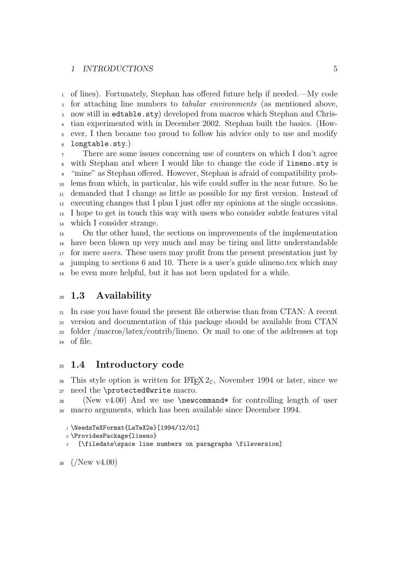#### 1 INTRODUCTIONS 5

 of lines). Fortunately, Stephan has offered future help if needed.—My code for attaching line numbers to tabular environments (as mentioned above, now still in edtable.sty) developed from macros which Stephan and Chris- tian experimented with in December 2002. Stephan built the basics. (How- ever, I then became too proud to follow his advice only to use and modify longtable.sty.)

 There are some issues concerning use of counters on which I don't agree with Stephan and where I would like to change the code if lineno.sty is "mine" as Stephan offered. However, Stephan is afraid of compatibility prob- lems from which, in particular, his wife could suffer in the near future. So he demanded that I change as little as possible for my first version. Instead of executing changes that I plan I just offer my opinions at the single occasions. I hope to get in touch this way with users who consider subtle features vital which I consider strange.

 On the other hand, the sections on improvements of the implementation have been blown up very much and may be tiring and litte understandable <sup>17</sup> for mere *users*. These users may profit from the present presentation just by jumping to sections 6 and 10. There is a user's guide ulineno.tex which may be even more helpful, but it has not been updated for a while.

## 1.3 Availability

 In case you have found the present file otherwise than from CTAN: A recent version and documentation of this package should be available from CTAN folder /macros/latex/contrib/lineno. Or mail to one of the addresses at top of file.

### 1.4 Introductory code

<sup>26</sup> This style option is written for  $\text{Lipx2}_{\epsilon}$ , November 1994 or later, since we need the \protected@write macro.

<sup>28</sup> (New v4.00) And we use  $\neq$   $\neq$   $\neq$   $\neq$   $\neq$   $\neq$   $\neq$   $\neq$   $\neq$   $\neq$   $\neq$   $\neq$   $\neq$   $\neq$   $\neq$   $\neq$   $\neq$   $\neq$   $\neq$   $\neq$   $\neq$   $\neq$   $\neq$   $\neq$   $\neq$   $\neq$   $\neq$   $\neq$   $\neq$   $\neq$   $\neq$   $\neq$  macro arguments, which has been available since December 1994.

```
1 \NeedsTeXFormat{LaTeX2e}[1994/12/01]
```
\ProvidesPackage{lineno}

[\filedate\space line numbers on paragraphs \fileversion]

```
30 \frac{(N_{\text{ew v4.00}})}{}
```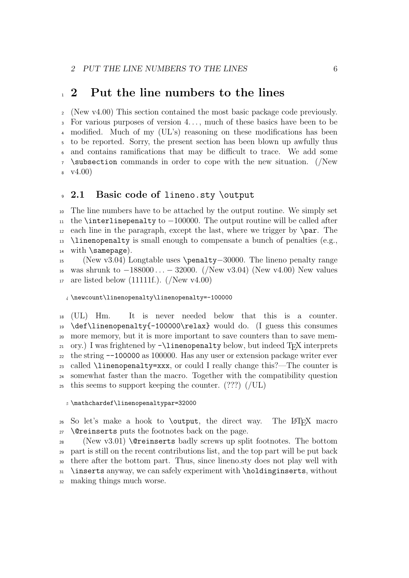## 1 2 Put the line numbers to the lines

 (New v4.00) This section contained the most basic package code previously. For various purposes of version 4. . . , much of these basics have been to be modified. Much of my (UL's) reasoning on these modifications has been to be reported. Sorry, the present section has been blown up awfully thus and contains ramifications that may be difficult to trace. We add some \subsection commands in order to cope with the new situation. (/New  $8 \quad \text{V4.00}$ 

#### 9 2.1 Basic code of lineno.sty \output

 The line numbers have to be attached by the output routine. We simply set  $_{11}$  the \interlinepenalty to  $-100000$ . The output routine will be called after each line in the paragraph, except the last, where we trigger by  $\langle$ par. The 13 \linenopenalty is small enough to compensate a bunch of penalties (e.g., 14 with \samepage).

 (New v3.04) Longtable uses \penalty−30000. The lineno penalty range was shrunk to −188000 . . . − 32000. (/New v3.04) (New v4.00) New values 17 are listed below  $(111111f.)$ .  $//New v4.00)$ 

\newcount\linenopenalty\linenopenalty=-100000

 (UL) Hm. It is never needed below that this is a counter.  $19 \text{ def}$  linenopenalty{-100000\relax} would do. (I guess this consumes more memory, but it is more important to save counters than to save mem- ory.) I was frightened by  $-\$ linenopenalty below, but indeed T<sub>E</sub>X interprets the string --100000 as 100000. Has any user or extension package writer ever 23 called  $\langle$ linenopenalty=xxx, or could I really change this?—The counter is somewhat faster than the macro. Together with the compatibility question this seems to support keeping the counter. (???) (/UL)

\mathchardef\linenopenaltypar=32000

 So let's make a hook to **\output**, the direct way. The LAT<sub>E</sub>X macro \@reinserts puts the footnotes back on the page.

28 (New v3.01) **\@reinserts** badly screws up split footnotes. The bottom part is still on the recent contributions list, and the top part will be put back there after the bottom part. Thus, since lineno.sty does not play well with \inserts anyway, we can safely experiment with \holdinginserts, without making things much worse.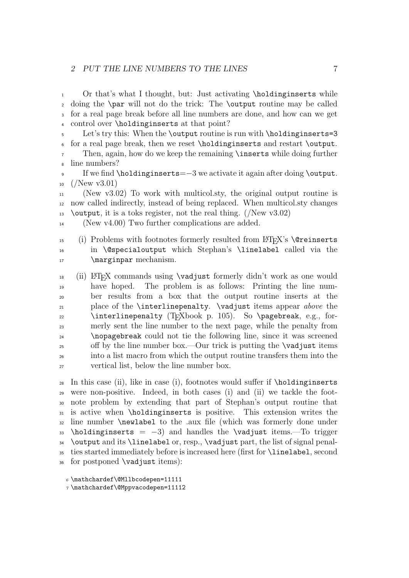Or that's what I thought, but: Just activating \holdinginserts while doing the \par will not do the trick: The \output routine may be called for a real page break before all line numbers are done, and how can we get control over \holdinginserts at that point?

5 Let's try this: When the \output routine is run with \holdinginserts=3 for a real page break, then we reset \holdinginserts and restart \output.

 Then, again, how do we keep the remaining \inserts while doing further line numbers?

 If we find \holdinginserts=−3 we activate it again after doing \output.  $10 \frac{(New \text{ v}3.01)}{}$ 

 (New v3.02) To work with multicol.sty, the original output routine is now called indirectly, instead of being replaced. When multicol.sty changes 13 \contput, it is a toks register, not the real thing. (/New  $v3.02$ )

(New v4.00) Two further complications are added.

15 (i) Problems with footnotes formerly resulted from LATEX's **\@reinserts**  in \@specialoutput which Stephan's \linelabel called via the 17 \marginpar mechanism.

 (ii) LAT<sub>EX</sub> commands using **\vadjust** formerly didn't work as one would have hoped. The problem is as follows: Printing the line num- ber results from a box that the output routine inserts at the place of the \interlinepenalty. \vadjust items appear above the 22 \interlinepenalty (TEXbook p. 105). So \pagebreak, e.g., for- merly sent the line number to the next page, while the penalty from \nopagebreak could not tie the following line, since it was screened off by the line number box.—Our trick is putting the  $\varepsilon$  vadjust items into a list macro from which the output routine transfers them into the vertical list, below the line number box.

28 In this case (ii), like in case (i), footnotes would suffer if  $\hbar$ oldinginserts were non-positive. Indeed, in both cases (i) and (ii) we tackle the foot- note problem by extending that part of Stephan's output routine that is active when \holdinginserts is positive. This extension writes the line number \newlabel to the .aux file (which was formerly done under \holdinginserts = -3) and handles the \vadjust items.—To trigger \output and its \linelabel or, resp., \vadjust part, the list of signal penal- ties started immediately before is increased here (first for \linelabel, second for postponed \vadjust items):

 $6 \mathbf{h}$ chardef $\mathbf{h}$ Mllbcodepen=11111

\mathchardef\@Mppvacodepen=11112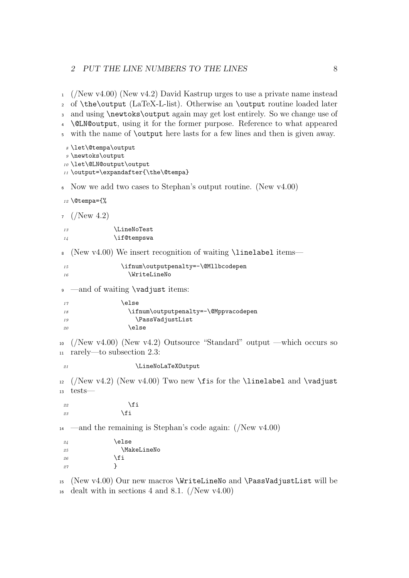#### 2 PUT THE LINE NUMBERS TO THE LINES 8

<sup>1</sup> (/New v4.00) (New v4.2) David Kastrup urges to use a private name instead <sup>2</sup> of \the\output (LaTeX-L-list). Otherwise an \output routine loaded later <sup>3</sup> and using \newtoks\output again may get lost entirely. So we change use of <sup>4</sup> \@LN@output, using it for the former purpose. Reference to what appeared <sup>5</sup> with the name of \output here lasts for a few lines and then is given away. <sup>8</sup> \let\@tempa\output <sup>9</sup> \newtoks\output <sup>10</sup> \let\@LN@output\output <sup>11</sup> \output=\expandafter{\the\@tempa} <sup>6</sup> Now we add two cases to Stephan's output routine. (New v4.00) <sup>12</sup> \@tempa={%  $7/(New 4.2)$ 13 \LineNoTest 14 \if@tempswa 8 (New v4.00) We insert recognition of waiting \linelabel items— 15 \ifnum\outputpenalty=-\@Mllbcodepen 16 \WriteLineNo 9 —and of waiting **\vadjust** items:  $17$  \else 18 \ifnum\outputpenalty=-\@Mppvacodepen 19 \PassVadjustList 20  $\leq$   $\leq$   $\leq$   $\leq$   $\leq$   $\leq$   $\leq$   $\leq$   $\leq$   $\leq$   $\leq$   $\leq$   $\leq$   $\leq$   $\leq$   $\leq$   $\leq$   $\leq$   $\leq$   $\leq$   $\leq$   $\leq$   $\leq$   $\leq$   $\leq$   $\leq$   $\leq$   $\leq$   $\leq$   $\leq$   $\leq$   $\leq$   $\leq$   $\leq$   $\leq$   $\leq$   $\$ <sup>10</sup> (/New v4.00) (New v4.2) Outsource "Standard" output —which occurs so <sup>11</sup> rarely—to subsection 2.3: 21 \LineNoLaTeXOutput  $12$  (/New v4.2) (New v4.00) Two new \fis for the \linelabel and \vadjust <sup>13</sup> tests— 22  $\qquad \qquad \int f$ i 23  $\sqrt{f}$  $_{14}$  —and the remaining is Stephan's code again: (/New v4.00)  $24 \qquad \qquad \text{lelex}$ 25 \MakeLineNo 26  $\setminus$ fi 27 }

<sup>15</sup> (New v4.00) Our new macros \WriteLineNo and \PassVadjustList will be  $_{16}$  dealt with in sections 4 and 8.1. (/New v4.00)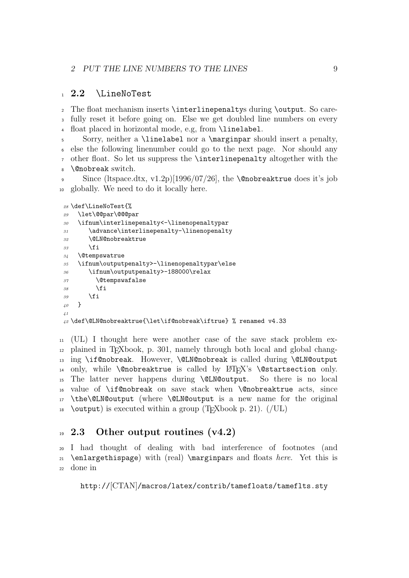## $1\quad 2.2$  \LineNoTest

 The float mechanism inserts \interlinepenaltys during \output. So care- fully reset it before going on. Else we get doubled line numbers on every float placed in horizontal mode, e.g, from \linelabel.

 Sorry, neither a \linelabel nor a \marginpar should insert a penalty, else the following linenumber could go to the next page. Nor should any other float. So let us suppress the \interlinepenalty altogether with the \@nobreak switch.

9 Since (ltspace.dtx, v1.2p)[1996/07/26], the **\@nobreaktrue** does it's job globally. We need to do it locally here.

```
28 \def\LineNoTest{%
29 \let\@@par\@@@par
30 \ifnum\interlinepenalty<-\linenopenaltypar
31 \advance\interlinepenalty-\linenopenalty
32 \@LN@nobreaktrue
\frac{33}{100} \fi
34 \@tempswatrue
35 \ifnum\outputpenalty>-\linenopenaltypar\else
36 \ifnum\outputpenalty>-188000\relax
37 \@tempswafalse
38 \qquad \qquad \text{if}39 \fi
40 }
41
42 \def\@LN@nobreaktrue{\let\if@nobreak\iftrue} % renamed v4.33
```
 (UL) I thought here were another case of the save stack problem ex- plained in TEXbook, p. 301, namely through both local and global changing \if@nobreak. However, \@LN@nobreak is called during \@LN@output 14 only, while **\@nobreaktrue** is called by  $\angle MEX$ 's **\@startsection** only.<br>15 The latter never happens during **\@LN@output**. So there is no local The latter never happens during **\@LN@output.**  value of \if@nobreak on save stack when \@nobreaktrue acts, since \the\@LN@output (where \@LN@output is a new name for the original 18 \coutput) is executed within a group (T<sub>E</sub>Xbook p. 21).  $($ /UL)

## $19\,$  2.3 Other output routines (v4.2)

I had thought of dealing with bad interference of footnotes (and 21 \enlargethispage) with (real) \marginpars and floats *here*. Yet this is done in

```
http://[CTAN]/macros/latex/contrib/tamefloats/tameflts.sty
```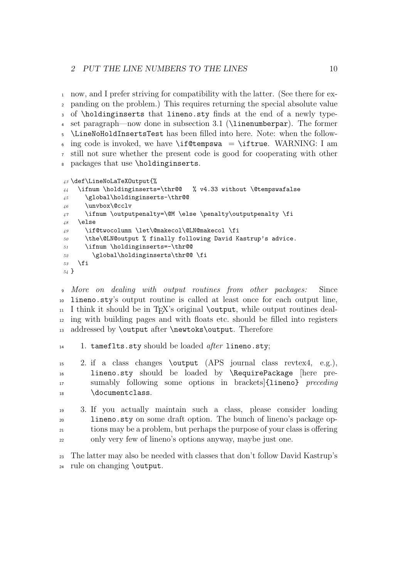now, and I prefer striving for compatibility with the latter. (See there for ex- panding on the problem.) This requires returning the special absolute value of \holdinginserts that lineno.sty finds at the end of a newly type- set paragraph—now done in subsection 3.1 (\linenumberpar). The former \LineNoHoldInsertsTest has been filled into here. Note: when the follow-6 ing code is invoked, we have \if@tempswa = \iftrue. WARNING: I am still not sure whether the present code is good for cooperating with other packages that use \holdinginserts.

```
43 \def\LineNoLaTeXOutput{%
44 \ifnum \holdinginserts=\thr@@ % v4.33 without \@tempswafalse
45 \global\holdinginserts-\thr@@
46 \unvbox\@cclv
47 \ifnum \outputpenalty=\@M \else \penalty\outputpenalty \fi
48 \else
49 \if@twocolumn \let\@makecol\@LN@makecol \fi
50 \the\@LN@output % finally following David Kastrup's advice.
```

```
51 \ifnum \holdinginserts=-\thr@@
```

```
52 \global\holdinginserts\thr@@ \fi
53 \fi
```

```
54 }
```
 More on dealing with output routines from other packages: Since lineno.sty's output routine is called at least once for each output line,  $_{11}$  I think it should be in T<sub>EX</sub>'s original **\output**, while output routines deal- ing with building pages and with floats etc. should be filled into registers addressed by \output after \newtoks\output. Therefore

```
14 1. tameflts.sty should be loaded after lineno.sty;
```
 2. if a class changes \output (APS journal class revtex4, e.g.), lineno.sty should be loaded by \RequirePackage [here pre- sumably following some options in brackets]{lineno} preceding 18 \documentclass.

 3. If you actually maintain such a class, please consider loading lineno.sty on some draft option. The bunch of lineno's package op- tions may be a problem, but perhaps the purpose of your class is offering only very few of lineno's options anyway, maybe just one.

 The latter may also be needed with classes that don't follow David Kastrup's rule on changing \output.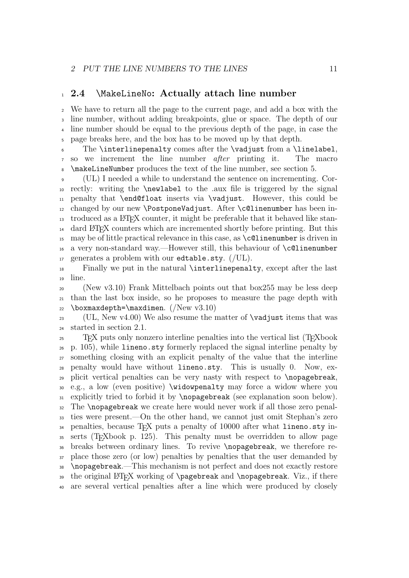## 1 2.4 \MakeLineNo: Actually attach line number

 We have to return all the page to the current page, and add a box with the line number, without adding breakpoints, glue or space. The depth of our line number should be equal to the previous depth of the page, in case the page breaks here, and the box has to be moved up by that depth.

 The \interlinepenalty comes after the \vadjust from a \linelabel, so we increment the line number after printing it. The macro \makeLineNumber produces the text of the line number, see section 5.

 (UL) I needed a while to understand the sentence on incrementing. Cor- rectly: writing the \newlabel to the .aux file is triggered by the signal penalty that \end@float inserts via \vadjust. However, this could be 12 changed by our new  $\Delta$ istrative Vadjust. After  $c$ Qlinenumber has been in- $_{13}$  troduced as a LAT<sub>EX</sub> counter, it might be preferable that it behaved like stan- dard LATEX counters which are incremented shortly before printing. But this may be of little practical relevance in this case, as \c@linenumber is driven in a very non-standard way.—However still, this behaviour of \c@linenumber 17 generates a problem with our edtable.sty.  $($ /UL $)$ .

 Finally we put in the natural \interlinepenalty, except after the last line.

 (New v3.10) Frank Mittelbach points out that box255 may be less deep than the last box inside, so he proposes to measure the page depth with 22 \boxmaxdepth=\maxdimen.  $(New v3.10)$ 

<sup>23</sup> (UL, New v4.00) We also resume the matter of  $\varepsilon$  vadjust items that was started in section 2.1.

 TEX puts only nonzero interline penalties into the vertical list (TEXbook p. 105), while lineno.sty formerly replaced the signal interline penalty by something closing with an explicit penalty of the value that the interline penalty would have without lineno.sty. This is usually 0. Now, ex- plicit vertical penalties can be very nasty with respect to \nopagebreak, e.g., a low (even positive) \widowpenalty may force a widow where you explicitly tried to forbid it by \nopagebreak (see explanation soon below). The \nopagebreak we create here would never work if all those zero penal- ties were present.—On the other hand, we cannot just omit Stephan's zero penalties, because TEX puts a penalty of 10000 after what lineno.sty in- serts (TEXbook p. 125). This penalty must be overridden to allow page breaks between ordinary lines. To revive \nopagebreak, we therefore re- place those zero (or low) penalties by penalties that the user demanded by \nopagebreak.—This mechanism is not perfect and does not exactly restore 39 the original LATEX working of **\pagebreak** and **\nopagebreak**. Viz., if there are several vertical penalties after a line which were produced by closely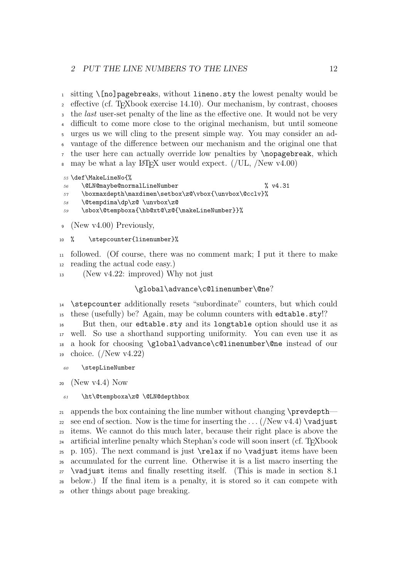1 sitting  $\[$ [no]pagebreaks, without lineno.sty the lowest penalty would be  $\alpha$  effective (cf. T<sub>EX</sub>book exercise 14.10). Our mechanism, by contrast, chooses <sup>3</sup> the *last* user-set penalty of the line as the effective one. It would not be very difficult to come more close to the original mechanism, but until someone urges us we will cling to the present simple way. You may consider an ad- vantage of the difference between our mechanism and the original one that the user here can actually override low penalties by \nopagebreak, which  $\mu$  may be what a lay LAT<sub>EX</sub> user would expect. (/UL, /New v4.00)

\def\MakeLineNo{%

- \@LN@maybe@normalLineNumber % v4.31
- 57 \boxmaxdepth\maxdimen\setbox\z@\vbox{\unvbox\@cclv}%
- \@tempdima\dp\z@ \unvbox\z@
- \sbox\@tempboxa{\hb@xt@\z@{\makeLineNumber}}%

(New v4.00) Previously,

10 % \stepcounter{linenumber}%

 followed. (Of course, there was no comment mark; I put it there to make reading the actual code easy.)

(New v4.22: improved) Why not just

#### \global\advance\c@linenumber\@ne?

 \stepcounter additionally resets "subordinate" counters, but which could these (usefully) be? Again, may be column counters with edtable.sty!?

 But then, our edtable.sty and its longtable option should use it as well. So use a shorthand supporting uniformity. You can even use it as a hook for choosing \global\advance\c@linenumber\@ne instead of our choice. (/New v4.22)

\stepLineNumber

(New v4.4) Now

#### \ht\@tempboxa\z@ \@LN@depthbox

<sup>21</sup> appends the box containing the line number without changing \prevdepth— 22 see end of section. Now is the time for inserting the  $\dots/(New \nu 4.4)$  \vadjust items. We cannot do this much later, because their right place is above the <sup>24</sup> artificial interline penalty which Stephan's code will soon insert (cf. T<sub>E</sub>Xbook 25 p. 105). The next command is just  $\relaxright$  if no  $\vee$  adjust items have been accumulated for the current line. Otherwise it is a list macro inserting the \vadjust items and finally resetting itself. (This is made in section 8.1 below.) If the final item is a penalty, it is stored so it can compete with other things about page breaking.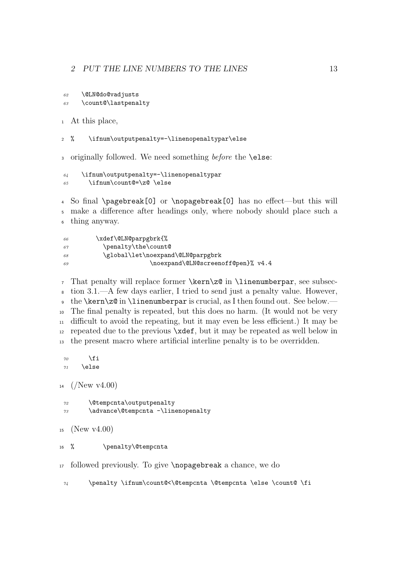```
62 \@LN@do@vadjusts
63 \count@\lastpenalty
```
At this place,

% \ifnum\outputpenalty=-\linenopenaltypar\else

3 originally followed. We need something before the **\else**:

```
64 \ifnum\outputpenalty=-\linenopenaltypar
65 \ifnum\count@=\z@ \else
```
 So final \pagebreak[0] or \nopagebreak[0] has no effect—but this will make a difference after headings only, where nobody should place such a thing anyway.

  $\chi$ def $\ell\$  \penalty\the\count@ 68 \global\let\noexpand\@LN@parpgbrk \noexpand\@LN@screenoff@pen}% v4.4

 That penalty will replace former \kern\z@ in \linenumberpar, see subsec- tion 3.1.—A few days earlier, I tried to send just a penalty value. However, the \kern\z@ in \linenumberpar is crucial, as I then found out. See below.— The final penalty is repeated, but this does no harm. (It would not be very difficult to avoid the repeating, but it may even be less efficient.) It may be repeated due to the previous \xdef, but it may be repeated as well below in the present macro where artificial interline penalty is to be overridden.

```
70 \overline{\ } \text{f} i
\gamma_1 \else
```
 $14 \frac{(New \text{ v4.00})}{(New \text{ v4.00})}$ 

 \@tempcnta\outputpenalty \advance\@tempcnta -\linenopenalty

```
15 (New v4.00)
```
16 % \penalty\@tempcnta

followed previously. To give \nopagebreak a chance, we do

 $\gamma$  \penalty \ifnum\count@<\@tempcnta \@tempcnta \else \count@ \fi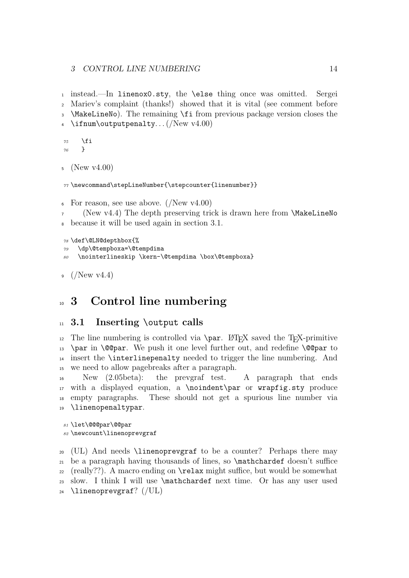instead.—In linenox0.sty, the \else thing once was omitted. Sergei Mariev's complaint (thanks!) showed that it is vital (see comment before \MakeLineNo). The remaining \fi from previous package version closes the 4 \ifnum\outputpenalty... $(New v4.00)$ 

```
75 \fi
76 }
```

```
5 (New v4.00)
```

```
77 \newcommand\stepLineNumber{\stepcounter{linenumber}}
```

```
\epsilon For reason, see use above. (/New v4.00)
```

```
7 (New v4.4) The depth preserving trick is drawn here from \MakeLineNo
  because it will be used again in section 3.1.
```

```
78 \def\@LN@depthbox{%
79 \dp\@tempboxa=\@tempdima
80 \nointerlineskip \kern-\@tempdima \box\@tempboxa}
```

```
9 \frac{(New \text{ v4.4})}{(New \text{ v4.4})}
```
# <sup>10</sup> 3 Control line numbering

## <sup>11</sup> 3.1 Inserting \output calls

<sup>12</sup> The line numbering is controlled via  $\parrow$  LATEX saved the TEX-primitive 13 \par in \@@par. We push it one level further out, and redefine \@@par to insert the \interlinepenalty needed to trigger the line numbering. And we need to allow pagebreaks after a paragraph.

 New (2.05beta): the prevgraf test. A paragraph that ends with a displayed equation, a \noindent\par or wrapfig.sty produce empty paragraphs. These should not get a spurious line number via \linenopenaltypar.

```
81 \let\@@@par\@@par
82 \newcount\linenoprevgraf
```
 (UL) And needs \linenoprevgraf to be a counter? Perhaps there may be a paragraph having thousands of lines, so \mathchardef doesn't suffice  $_{22}$  (really??). A macro ending on  $\relaxright$  suffice, but would be somewhat slow. I think I will use \mathchardef next time. Or has any user used \linenoprevgraf? (/UL)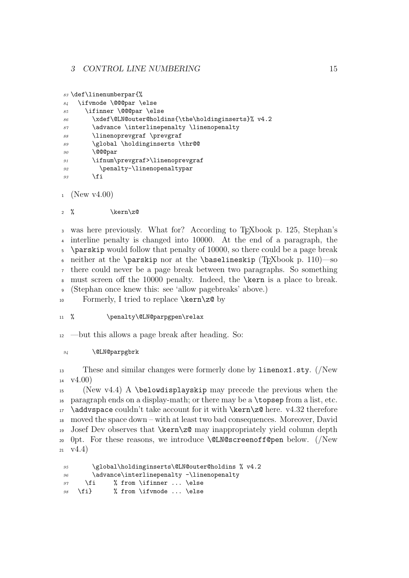```
83 \def\linenumberpar{%
```

```
84 \ifvmode \@@@par \else
85 \ifinner \@@@par \else
86 \xdef\@LN@outer@holdins{\the\holdinginserts}% v4.2
87 \dvance \interlinepenalty \linenopenalty
88 \linenoprevgraf \prevgraf
89 \global \holdinginserts \thr@@
90 \@@@par
91 \ifnum\prevgraf>\linenoprevgraf
92 \penalty-\linenopenaltypar
93 \qquad \qquad \text{if}
```
 $_1$  (New v4.00)

```
2 % \ker n \cdot z
```
 was here previously. What for? According to TEXbook p. 125, Stephan's interline penalty is changed into 10000. At the end of a paragraph, the \parskip would follow that penalty of 10000, so there could be a page break 6 neither at the \parskip nor at the \baselineskip (T<sub>E</sub>Xbook p. 110)—so there could never be a page break between two paragraphs. So something must screen off the 10000 penalty. Indeed, the \kern is a place to break. (Stephan once knew this: see 'allow pagebreaks' above.)

10 Formerly, I tried to replace  $\ker\zeta$  by

### 11 % \penalty\@LN@parpgpen\relax

<sup>12</sup> —but this allows a page break after heading. So:

#### <sup>94</sup> \@LN@parpgbrk

<sup>13</sup> These and similar changes were formerly done by linenox1.sty. (/New  $v4.00$ 

 (New v4.4) A \belowdisplayskip may precede the previous when the paragraph ends on a display-math; or there may be a \topsep from a list, etc. \addvspace couldn't take account for it with \kern\z@ here. v4.32 therefore moved the space down – with at least two bad consequences. Moreover, David Josef Dev observes that \kern\z@ may inappropriately yield column depth 0pt. For these reasons, we introduce \@LN@screenoff@pen below. (/New  $21 \quad \text{V4.4}$ 

```
95 \global\holdinginserts\@LN@outer@holdins % v4.2
96 \advance\interlinepenalty -\linenopenalty
97 \fi % from \ifinner ... \else
98 \fi} % from \ifvmode ... \else
```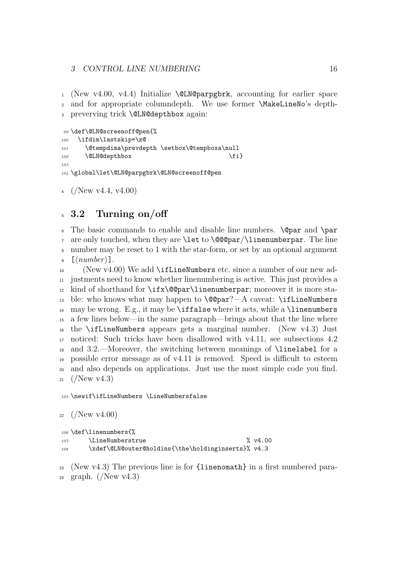#### 3 CONTROL LINE NUMBERING 16

 $_1$  (New v4.00, v4.4) Initialize **\@LN@parpgbrk**, accounting for earlier space <sup>2</sup> and for appropriate columndepth. We use former \MakeLineNo's depth-<sup>3</sup> preverving trick \@LN@depthbox again:

```
99 \def\@LN@screenoff@pen{%
100 \ifdim\lastskip=\z@
101 \@tempdima\prevdepth \setbox\@tempboxa\null
102 \@LN@depthbox \fi}
103
104 \global\let\@LN@parpgbrk\@LN@screenoff@pen
```
4 (New v4.4, v4.00)

## <sup>5</sup> 3.2 Turning on/off

 $\epsilon$  The basic commands to enable and disable line numbers. **\@par** and **\par**  $\tau$  are only touched, when they are **\let** to **\@@par**/**\linenumberpar**. The line <sup>8</sup> number may be reset to 1 with the star-form, or set by an optional argument  $\frac{1}{2}$  [(number)].

10 (New v4.00) We add \ifLineNumbers etc. since a number of our new ad- justments need to know whether linenumbering is active. This just provides a kind of shorthand for \ifx\@@par\linenumberpar; moreover it is more sta-13 ble: who knows what may happen to  $\@par? - A \caveat: \if\end{math}$ 14 may be wrong. E.g., it may be **\iffalse** where it acts, while a **\linenumbers**  a few lines below—in the same paragraph—brings about that the line where the \ifLineNumbers appears gets a marginal number. (New v4.3) Just noticed: Such tricks have been disallowed with v4.11, see subsections 4.2 and 3.2.—Moreover, the switching between meanings of \linelabel for a possible error message as of v4.11 is removed. Speed is difficult to esteem and also depends on applications. Just use the most simple code you find.  $_{21}$  (/New v4.3)

<sup>105</sup> \newif\ifLineNumbers \LineNumbersfalse

```
22 / \text{New v4.00}
```

```
106 \def\linenumbers{%
107 \LineNumberstrue % v4.00
108 \xdef\@LN@outer@holdins{\the\holdinginserts}% v4.3
```
<sup>23</sup> (New v4.3) The previous line is for  $\{linenomath\}$  in a first numbered para- $_{24}$  graph. (/New v4.3)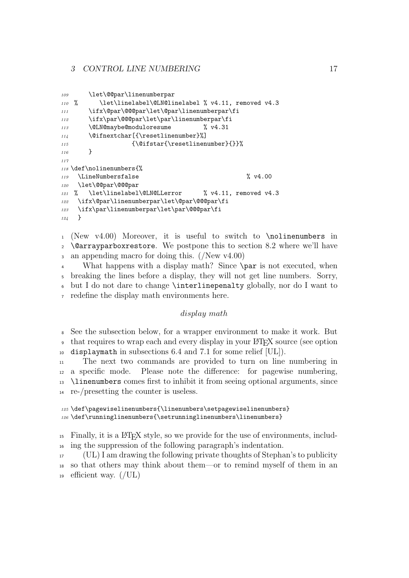#### 3 CONTROL LINE NUMBERING 17

```
109 \let\@@par\linenumberpar
110 % \let\linelabel\@LN@linelabel % v4.11, removed v4.3
111 \ifx\@par\@@@par\let\@par\linenumberpar\fi
112 \ifx\par\@@@par\let\par\linenumberpar\fi
113 \@LN@maybe@moduloresume % v4.31
114 \@ifnextchar[{\resetlinenumber}%]
115 {\@ifstar{\resetlinenumber}{}}%
116 }
117
118 \def\nolinenumbers{%
119 \LineNumbersfalse % v4.00
120 \let\@@par\@@@par
121 % \let\linelabel\@LN@LLerror % v4.11, removed v4.3
122 \ifx\@par\linenumberpar\let\@par\@@@par\fi
123 \ifx\par\linenumberpar\let\par\@@@par\fi
124 }
```
 (New v4.00) Moreover, it is useful to switch to \nolinenumbers in \@arrayparboxrestore. We postpone this to section 8.2 where we'll have an appending macro for doing this. (/New v4.00)

 What happens with a display math? Since \par is not executed, when breaking the lines before a display, they will not get line numbers. Sorry, but I do not dare to change \interlinepenalty globally, nor do I want to redefine the display math environments here.

#### display math

 See the subsection below, for a wrapper environment to make it work. But <sup>9</sup> that requires to wrap each and every display in your LAT<sub>EX</sub> source (see option displaymath in subsections 6.4 and 7.1 for some relief [UL]).

 The next two commands are provided to turn on line numbering in a specific mode. Please note the difference: for pagewise numbering, \linenumbers comes first to inhibit it from seeing optional arguments, since re-/presetting the counter is useless.

```
125 \def\pagewiselinenumbers{\linenumbers\setpagewiselinenumbers}
126 \def\runninglinenumbers{\setrunninglinenumbers\linenumbers}
```
 Finally, it is a LATEX style, so we provide for the use of environments, includ-ing the suppression of the following paragraph's indentation.

 (UL) I am drawing the following private thoughts of Stephan's to publicity so that others may think about them—or to remind myself of them in an 19 efficient way.  $($  /UL)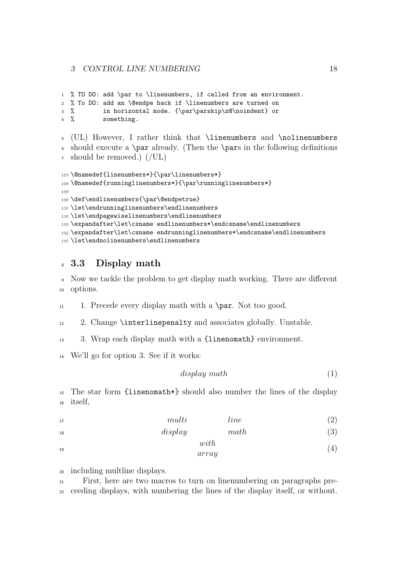```
1 % TO DO: add \par to \linenumbers, if called from an environment.
2 % To DO: add an \@endpe hack if \linenumbers are turned on
3 % in horizontal mode. {\par\parskip\z@\noindent} or
4 % something.
5 (UL) However, I rather think that \linenumbers and \nolinenumbers
6 should execute a \par already. (Then the \pars in the following definitions
7 should be removed.) (/UL)
127 \@namedef{linenumbers*}{\par\linenumbers*}
128 \@namedef{runninglinenumbers*}{\par\runninglinenumbers*}
129
130 \def\endlinenumbers{\par\@endpetrue}
131 \let\endrunninglinenumbers\endlinenumbers
132 \let\endpagewiselinenumbers\endlinenumbers
133 \expandafter\let\csname endlinenumbers*\endcsname\endlinenumbers
134 \expandafter\let\csname endrunninglinenumbers*\endcsname\endlinenumbers
135 \let\endnolinenumbers\endlinenumbers
```
## 8 3.3 Display math

 Now we tackle the problem to get display math working. There are different options.

11 1. Precede every display math with a  $\parrow$  Not too good.

2. Change \interlinepenalty and associates globally. Unstable.

3. Wrap each display math with a {linenomath} environment.

We'll go for option 3. See if it works:

```
display math (1)
```
 The star form {linenomath\*} should also number the lines of the display itself,

```
17 multi line (2)
```
 $display$  math (3)

with array  $\frac{1}{2}$  (4)

including multline displays.

 First, here are two macros to turn on linenumbering on paragraphs pre-ceeding displays, with numbering the lines of the display itself, or without.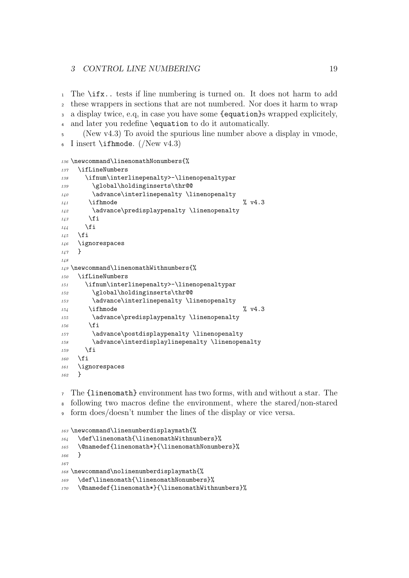#### 3 CONTROL LINE NUMBERING 19

 The \ifx.. tests if line numbering is turned on. It does not harm to add these wrappers in sections that are not numbered. Nor does it harm to wrap a display twice, e.q, in case you have some {equation}s wrapped explicitely, and later you redefine \equation to do it automatically.

 (New v4.3) To avoid the spurious line number above a display in vmode, I insert  $\iota$  ifhmode. (New v4.3)

```
136 \newcommand\linenomathNonumbers{%
137 \ifLineNumbers
138 \ifnum\interlinepenalty>-\linenopenaltypar
139 \global\holdinginserts\thr@@
140 \advance\interlinepenalty \linenopenalty
\frac{1}{141} \ifhmode \sqrt{4.3}142 \advance\predisplaypenalty \linenopenalty
143 \fi
144 \fi
145 \fi
146 \ignorespaces
147 }
148
149 \newcommand\linenomathWithnumbers{%
150 \ifLineNumbers
151 \ifnum\interlinepenalty>-\linenopenaltypar
152 \global\holdinginserts\thr@@
153 \dvance\interlinepenalty \linenopenalty
\frac{154}{154} \ifhmode \frac{9}{154} v4.3
155 \advance\predisplaypenalty \linenopenalty
156 \fi
157 \advance\postdisplaypenalty \linenopenalty
158 \advance\interdisplaylinepenalty \linenopenalty
159 \fi
160 \fi
161 \ignorespaces
162 }
```
 The {linenomath} environment has two forms, with and without a star. The following two macros define the environment, where the stared/non-stared form does/doesn't number the lines of the display or vice versa.

```
163 \newcommand\linenumberdisplaymath{%
164 \def\linenomath{\linenomathWithnumbers}%
165 \@namedef{linenomath*}{\linenomathNonumbers}%
166 }
167168 \newcommand\nolinenumberdisplaymath{%
169 \def\linenomath{\linenomathNonumbers}%
170 \@namedef{linenomath*}{\linenomathWithnumbers}%
```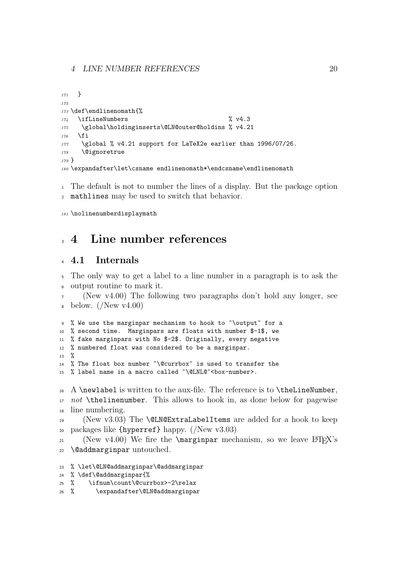```
171 }
172
173 \def\endlinenomath{%
174 \ifLineNumbers % v4.3
175 \global\holdinginserts\@LN@outer@holdins % v4.21
176 \fi
177 \global % v4.21 support for LaTeX2e earlier than 1996/07/26.
178 \@ignoretrue
179 }
180 \expandafter\let\csname endlinenomath*\endcsname\endlinenomath
```
 The default is not to number the lines of a display. But the package option mathlines may be used to switch that behavior.

\nolinenumberdisplaymath

## 4 Line number references

#### 4.1 Internals

 The only way to get a label to a line number in a paragraph is to ask the output routine to mark it.

(New  $v4.00$ ) The following two paragraphs don't hold any longer, see  $\delta$  below. (New v4.00)

```
9 % We use the marginpar mechanism to hook to ~\output~ for a
10 % second time. Marginpars are floats with number $-1$, we
11 % fake marginpars with No $-2$. Originally, every negative
12 % numbered float was considered to be a marginpar.
13 \frac{9}{2}14 % The float box number ~\@currbox~ is used to transfer the
15 % label name in a macro called ~\@LNL@~<box-number>.
```
 A \newlabel is written to the aux-file. The reference is to \theLineNumber, 17 not \thelinenumber. This allows to hook in, as done below for pagewise line numbering.

 (New v3.03) The \@LN@ExtraLabelItems are added for a hook to keep 20 packages like  ${\hbox{hyperref}}$  happy. (New v3.03)

<sup>21</sup> (New v4.00) We fire the  $\m{marginpar}$  mechanism, so we leave  $\rm{BTr}X$ 's \@addmarginpar untouched.

```
23 % \let\@LN@addmarginpar\@addmarginpar
```

```
24 % \def\@addmarginpar{%
```
- % \ifnum\count\@currbox>-2\relax
- % \expandafter\@LN@addmarginpar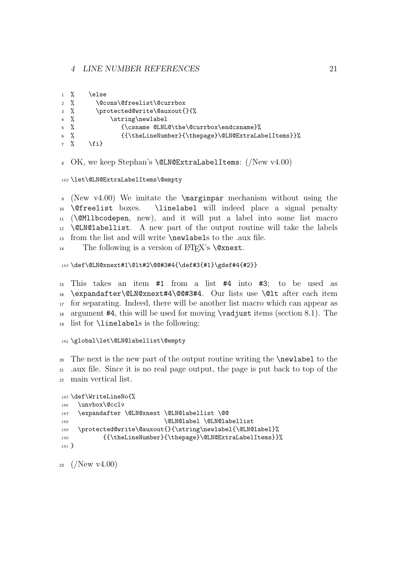#### 4 LINE NUMBER REFERENCES 21

|                 | $1 \frac{9}{6}$ | else                                               |
|-----------------|-----------------|----------------------------------------------------|
|                 | $2\frac{9}{6}$  | \@cons\@freelist\@currbox                          |
|                 | $3\frac{9}{6}$  | \protected@write\@auxout{}{%                       |
|                 | $4\frac{9}{6}$  | \string\newlabel                                   |
| $5\frac{9}{6}$  |                 | {\csname @LNL@\the\@currbox\endcsname}%            |
| $6\frac{9}{6}$  |                 | {{\theLineNumber}{\thepage}\@LN@ExtraLabelItems}}% |
| $7 \frac{9}{9}$ |                 | $f \in \mathcal{F}$                                |

OK, we keep Stephan's \@LN@ExtraLabelItems: (/New v4.00)

\let\@LN@ExtraLabelItems\@empty

 (New v4.00) We imitate the \marginpar mechanism without using the \@freelist boxes. \linelabel will indeed place a signal penalty (\@Mllbcodepen, new), and it will put a label into some list macro \@LN@labellist. A new part of the output routine will take the labels from the list and will write \newlabels to the .aux file.

14 The following is a version of  $\operatorname{\mathbb{H}T}^X$ 's **\@xnext.** 

#### \def\@LN@xnext#1\@lt#2\@@#3#4{\def#3{#1}\gdef#4{#2}}

 This takes an item #1 from a list #4 into #3; to be used as \expandafter\@LN@xnext#4\@@#3#4. Our lists use \@lt after each item for separating. Indeed, there will be another list macro which can appear as 18 argument  $#4$ , this will be used for moving  $\v{vadjust items}$  (section 8.1). The list for \linelabels is the following:

#### \global\let\@LN@labellist\@empty

The next is the new part of the output routine writing the **\newlabel** to the .aux file. Since it is no real page output, the page is put back to top of the main vertical list.

```
185 \def\WriteLineNo{%
186 \unvbox\@cclv
187 \expandafter \@LN@xnext \@LN@labellist \@@
188 \@LN@label \@LN@labellist
189 \protected@write\@auxout{}{\string\newlabel{\@LN@label}%
190 {{\theLineNumber}{\thepage}\@LN@ExtraLabelItems}}%
191 }
```
23  $(New v4.00)$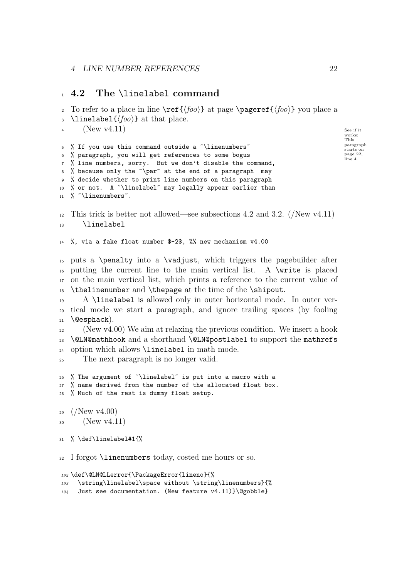## 4.2 The \linelabel command

To refer to a place in line  $\ref{\f{too}}$  at page  $\text{space} \{f(oo)\}$  you place a

```
3 \linelabel{\langle foo \rangle} at that place.
      (\text{New V4.11}) See if it
                                                                              works:
                                                                              This
                                                                             paragraph
                                                                              starts on
                                                                             page 22,
                                                                             line 4.
4
5 % If you use this command outside a "\linenumbers"
6 % paragraph, you will get references to some bogus
7 % line numbers, sorry. But we don't disable the command,
8 % because only the ~\par~ at the end of a paragraph may
9 % decide whether to print line numbers on this paragraph
10 % or not. A "\linelabel" may legally appear earlier than
11 % "\linenumbers".
12 This trick is better not allowed—see subsections 4.2 and 3.2. (/New v4.11)
13 \linelabel
14 %, via a fake float number $-2$, %% new mechanism v4.00
15 puts a \penalty into a \vadjust, which triggers the pagebuilder after
16 putting the current line to the main vertical list. A \write is placed
17 on the main vertical list, which prints a reference to the current value of
18 \thelinenumber and \thepage at the time of the \shipout.
19 A \linelabel is allowed only in outer horizontal mode. In outer ver-
20 tical mode we start a paragraph, and ignore trailing spaces (by fooling
_{21} \@esphack).
22 (New v4.00) We aim at relaxing the previous condition. We insert a hook
23 \@LN@mathhook and a shorthand \@LN@postlabel to support the mathrefs
24 option which allows \linelabel in math mode.
25 The next paragraph is no longer valid.
26 % The argument of ~\linelabel~ is put into a macro with a
27 % name derived from the number of the allocated float box.
28 % Much of the rest is dummy float setup.
29 \frac{(N_{\text{ew}})(4.00)}{29}30 (New v4.11)
31 % \def\linelabel#1{%
32 I forgot \linenumbers today, costed me hours or so.
192 \def\@LN@LLerror{\PackageError{lineno}{%
193 \string\linelabel\space without \string\linenumbers}{%
```
Just see documentation. (New feature v4.11)}\@gobble}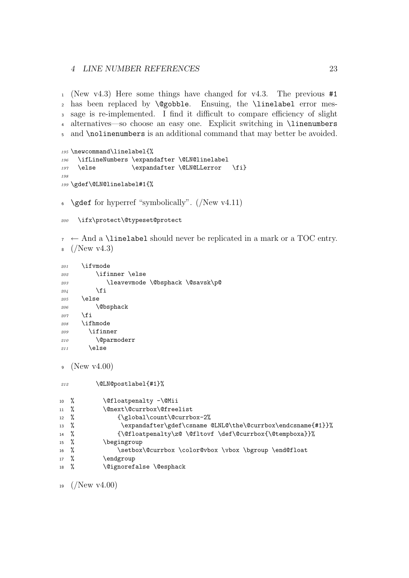#### 4 LINE NUMBER REFERENCES 23

 (New v4.3) Here some things have changed for v4.3. The previous #1 2 has been replaced by **\@gobble**. Ensuing, the **\linelabel** error mes- sage is re-implemented. I find it difficult to compare efficiency of slight alternatives—so choose an easy one. Explicit switching in \linenumbers and \nolinenumbers is an additional command that may better be avoided.

```
195 \newcommand\linelabel{%
196 \ifLineNumbers \expandafter \@LN@linelabel
197 \else \expandafter \@LN@LLerror \fi}
198
199 \gdef\@LN@linelabel#1{%
```

```
6 \text{ %} \gdef for hyperref "symbolically". (/New v4.11)
```

```
200 \ifx\protect\@typeset@protect
```
 $\tau \leftarrow$  And a \linelabel should never be replicated in a mark or a TOC entry.  $_8$  (/New v4.3)

```
201 \ifvmode
202 \ifinner \else
203 \leavevmode \@bsphack \@savsk\p@
204 \qquad \qquad \fi
205 \else
206 \\@bsphack
207 \lambdafi
208 \ifhmode
209 \ifinner
210 \@parmoderr
211 \else
```
<sup>9</sup> (New v4.00)

```
212 \@LN@postlabel{#1}%
10 % \@floatpenalty -\@Mii
11 % \@next\@currbox\@freelist
12 % {\global\count\@currbox-2%
13 % \expandafter\gdef\csname @LNL@\the\@currbox\endcsname{#1}}%
14 % {\@floatpenalty\z@ \@fltovf \def\@currbox{\@tempboxa}}%
15 % \begingroup
16 % \setbox\@currbox \color@vbox \vbox \bgroup \end@float
17 % \endgroup
18 % \@ignorefalse \@esphack
```
19  $(New \text{ v4.00})$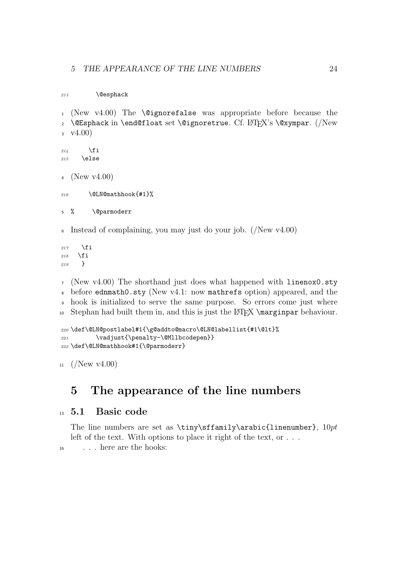213 \@esphack

```
1 (New v4.00) The \@ignorefalse was appropriate before because the
2 \@Esphack in \end@float set \@ignoretrue. Cf. LATFX's \@xympar. (/New
3 \quad \text{v4.00}214 \fi
215 \else
4 (New v4.00)
216 \CLNOmathhook{#1}%
5 % \@parmoderr
```
<sup>6</sup> Instead of complaining, you may just do your job. (/New v4.00)

 $217$  \fi 218  $\forall$ fi <sup>219</sup> }

 (New v4.00) The shorthand just does what happened with linenox0.sty before ednmath0.sty (New v4.1: now mathrefs option) appeared, and the hook is initialized to serve the same purpose. So errors come just where 10 Stephan had built them in, and this is just the LAT<sub>EX</sub> \marginpar behaviour.

```
220 \def\@LN@postlabel#1{\g@addto@macro\@LN@labellist{#1\@lt}%
221 \vadjust{\penalty-\@Mllbcodepen}}
222 \def\@LN@mathhook#1{\@parmoderr}
```
 $11 \frac{(New \text{ v4.00})}{(New \text{ v4.00})}$ 

## 5 The appearance of the line numbers

#### <sup>13</sup> 5.1 Basic code

The line numbers are set as \tiny\sffamily\arabic{linenumber},  $10pt$ left of the text. With options to place it right of the text, or . . . <sup>16</sup> . . . here are the hooks: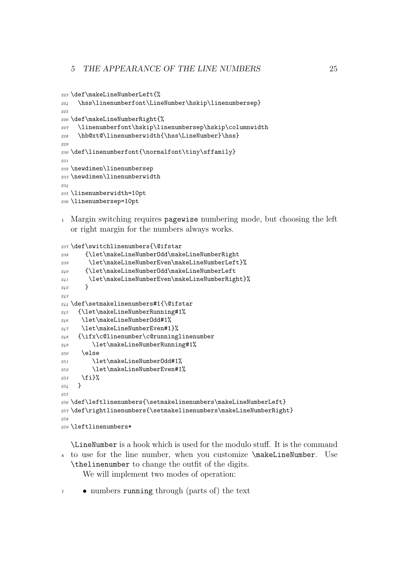```
223 \def\makeLineNumberLeft{%
224 \hss\linenumberfont\LineNumber\hskip\linenumbersep}
225
226 \def\makeLineNumberRight{%
227 \linenumberfont\hskip\linenumbersep\hskip\columnwidth
228 \hb@xt@\linenumberwidth{\hss\LineNumber}\hss}
229
230 \def\linenumberfont{\normalfont\tiny\sffamily}
231
232 \newdimen\linenumbersep
233 \newdimen\linenumberwidth
234
235 \linenumberwidth=10pt
236 \linenumbersep=10pt
```
 Margin switching requires pagewise numbering mode, but choosing the left or right margin for the numbers always works.

```
237 \def\switchlinenumbers{\@ifstar
238 {\let\makeLineNumberOdd\makeLineNumberRight
239 \let\makeLineNumberEven\makeLineNumberLeft}%
240 {\let\makeLineNumberOdd\makeLineNumberLeft
241 \let\makeLineNumberEven\makeLineNumberRight}%
242 }
243
244 \def\setmakelinenumbers#1{\@ifstar
245 {\let\makeLineNumberRunning#1%
246 \let\makeLineNumberOdd#1%
247 \let\makeLineNumberEven#1}%
248 {\ifx\c@linenumber\c@runninglinenumber
249 \let\makeLineNumberRunning#1%
250 \else
251 \let\makeLineNumberOdd#1%
252 \let\makeLineNumberEven#1%
253 \fi}%
254 }
955256 \def\leftline numbers{\setminus}{\setminus}\mathfrak{m}257 \def\rightlinenumbers{\setmakelinenumbers\makeLineNumberRight}
958259 \leftlinenumbers*
```
\LineNumber is a hook which is used for the modulo stuff. It is the command to use for the line number, when you customize \makeLineNumber. Use \thelinenumber to change the outfit of the digits.

We will implement two modes of operation:

• numbers running through (parts of) the text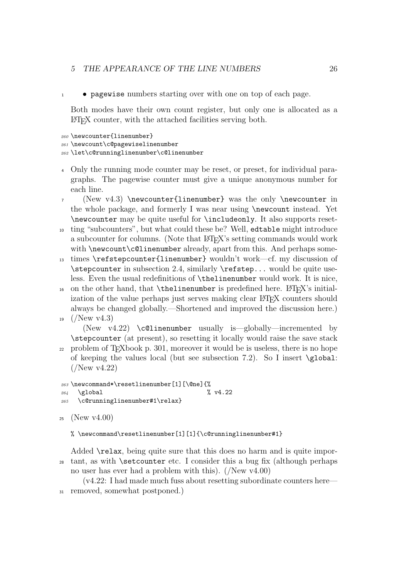#### 5 THE APPEARANCE OF THE LINE NUMBERS 26

<sup>1</sup> • pagewise numbers starting over with one on top of each page.

Both modes have their own count register, but only one is allocated as a LATEX counter, with the attached facilities serving both.

```
260 \newcounter{linenumber}
```

```
261 \newcount\c@pagewiselinenumber
```
<sup>262</sup> \let\c@runninglinenumber\c@linenumber

- <sup>4</sup> Only the running mode counter may be reset, or preset, for individual paragraphs. The pagewise counter must give a unique anonymous number for each line.
- <sup>7</sup> (New v4.3) \newcounter{linenumber} was the only \newcounter in the whole package, and formerly I was near using \newcount instead. Yet \newcounter may be quite useful for \includeonly. It also supports reset-
- <sup>10</sup> ting "subcounters", but what could these be? Well, edtable might introduce a subcounter for columns. (Note that  $\angle$ F<sub>F</sub>X's setting commands would work with \newcount\c@linenumber already, apart from this. And perhaps some-
- <sup>13</sup> times \refstepcounter{linenumber} wouldn't work—cf. my discussion of \stepcounter in subsection 2.4, similarly \refstep... would be quite useless. Even the usual redefinitions of \thelinenumber would work. It is nice,
- 16 on the other hand, that  $\theta$  is predefined here. LATEX's initialization of the value perhaps just serves making clear LAT<sub>EX</sub> counters should always be changed globally.—Shortened and improved the discussion here.)

```
19 (New v4.3)
```
(New v4.22) \c@linenumber usually is—globally—incremented by \stepcounter (at present), so resetting it locally would raise the save stack

<sup>22</sup> problem of TEXbook p. 301, moreover it would be is useless, there is no hope of keeping the values local (but see subsection 7.2). So I insert \global: (/New v4.22)

```
263 \newcommand*\resetlinenumber[1][\@ne]{%
264 \global \% v4.22
```

```
265 \c@runninglinenumber#1\relax}
```

```
25 (New v4.00)
```
% \newcommand\resetlinenumber[1][1]{\c@runninglinenumber#1}

Added \relax, being quite sure that this does no harm and is quite impor-<sup>28</sup> tant, as with \setcounter etc. I consider this a bug fix (although perhaps no user has ever had a problem with this). (/New v4.00)

(v4.22: I had made much fuss about resetting subordinate counters here—

<sup>31</sup> removed, somewhat postponed.)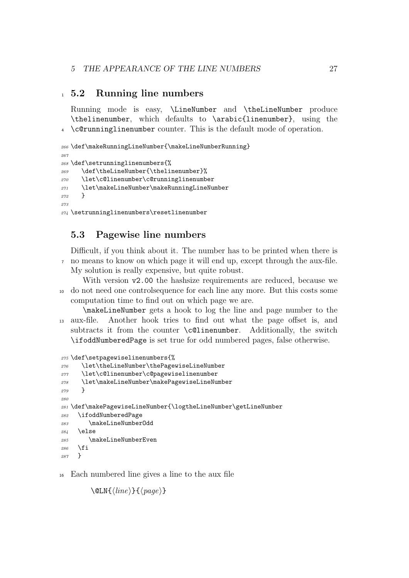## 5.2 Running line numbers

Running mode is easy, \LineNumber and \theLineNumber produce \thelinenumber, which defaults to \arabic{linenumber}, using the \c@runninglinenumber counter. This is the default mode of operation.

```
266 \def\makeRunningLineNumber{\makeLineNumberRunning}
267
268 \def\setrunninglinenumbers{%
269 \def\theLineNumber{\thelinenumber}%
270 \let\c@linenumber\c@runninglinenumber
271 \let\makeLineNumber\makeRunningLineNumber
272 }
275274 \setrunninglinenumbers\resetlinenumber
```
## 5.3 Pagewise line numbers

Difficult, if you think about it. The number has to be printed when there is no means to know on which page it will end up, except through the aux-file. My solution is really expensive, but quite robust.

With version  $v2.00$  the hashsize requirements are reduced, because we do not need one controlsequence for each line any more. But this costs some computation time to find out on which page we are.

\makeLineNumber gets a hook to log the line and page number to the aux-file. Another hook tries to find out what the page offset is, and subtracts it from the counter \c@linenumber. Additionally, the switch \ifoddNumberedPage is set true for odd numbered pages, false otherwise.

```
275 \def\setpagewiselinenumbers{%
276 \let\theLineNumber\thePagewiseLineNumber
277 \let\c@linenumber\c@pagewiselinenumber
278 \let\makeLineNumber\makePagewiseLineNumber
279 }
280
281 \def\makePagewiseLineNumber{\logtheLineNumber\getLineNumber
282 \ifoddNumberedPage
283 \makeLineNumberOdd
284 \else
285 \makeLineNumberEven
286 \fi
287 }
```
Each numbered line gives a line to the aux file

```
\langle 0 \text{LN} \{\langle line \rangle\} \{\langle page \rangle\}
```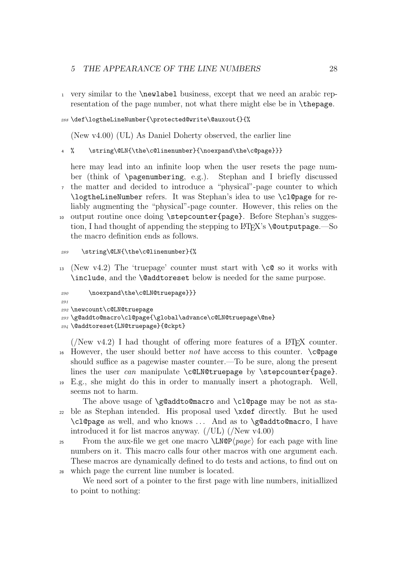<sup>1</sup> very similar to the \newlabel business, except that we need an arabic representation of the page number, not what there might else be in \thepage.

#### <sup>288</sup> \def\logtheLineNumber{\protected@write\@auxout{}{%

(New v4.00) (UL) As Daniel Doherty observed, the earlier line

<sup>4</sup> % \string\@LN{\the\c@linenumber}{\noexpand\the\c@page}}}

here may lead into an infinite loop when the user resets the page number (think of \pagenumbering, e.g.). Stephan and I briefly discussed <sup>7</sup> the matter and decided to introduce a "physical"-page counter to which

- \logtheLineNumber refers. It was Stephan's idea to use \cl@page for reliably augmenting the "physical"-page counter. However, this relies on the
- <sup>10</sup> output routine once doing \stepcounter{page}. Before Stephan's suggestion, I had thought of appending the stepping to LAT<sub>EX</sub>'s **\@outputpage.**—So the macro definition ends as follows.

#### <sup>289</sup> \string\@LN{\the\c@linenumber}{%

13 (New v4.2) The 'truepage' counter must start with  $\c{c}$  so it works with \include, and the \@addtoreset below is needed for the same purpose.

```
290 \noexpand\the\c@LN@truepage}}}
```

```
901
```
<sup>292</sup> \newcount\c@LN@truepage

<sup>293</sup> \g@addto@macro\cl@page{\global\advance\c@LN@truepage\@ne}

```
294 \@addtoreset{LN@truepage}{@ckpt}
```
- ( $New$  v4.2) I had thought of offering more features of a  $\Delta FFX$  counter. 16 However, the user should better *not* have access to this counter.  $\c{Cepage}$ should suffice as a pagewise master counter.—To be sure, along the present lines the user can manipulate  $c@L$ N@truepage by  $stepcounter{page}.$
- <sup>19</sup> E.g., she might do this in order to manually insert a photograph. Well, seems not to harm.

The above usage of \g@addto@macro and \cl@page may be not as sta-<sup>22</sup> ble as Stephan intended. His proposal used \xdef directly. But he used \cl@page as well, and who knows . . . And as to \g@addto@macro, I have introduced it for list macros anyway. (/UL) (/New v4.00)

<sup>25</sup> From the aux-file we get one macro  $\L{NQP}\{page\}$  for each page with line numbers on it. This macro calls four other macros with one argument each. These macros are dynamically defined to do tests and actions, to find out on <sup>28</sup> which page the current line number is located.

We need sort of a pointer to the first page with line numbers, initiallized to point to nothing: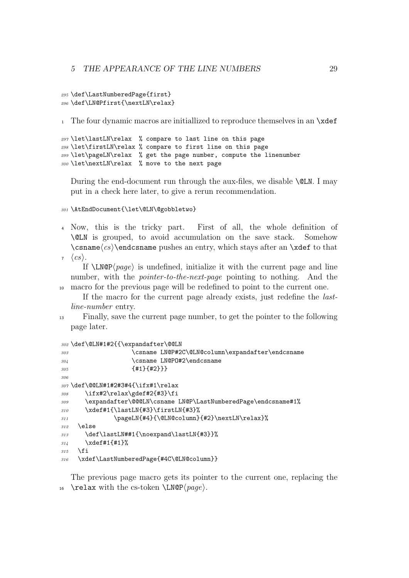```
295 \def\LastNumberedPage{first}
296 \def\LN@Pfirst{\nextLN\relax}
```
<sup>1</sup> The four dynamic macros are initiallized to reproduce themselves in an \xdef

297 \let\lastLN\relax % compare to last line on this page \let\firstLN\relax % compare to first line on this page \let\pageLN\relax % get the page number, compute the linenumber \let\nextLN\relax % move to the next page

During the end-document run through the aux-files, we disable  $\&$ LN. I may put in a check here later, to give a rerun recommendation.

<sup>301</sup> \AtEndDocument{\let\@LN\@gobbletwo}

- <sup>4</sup> Now, this is the tricky part. First of all, the whole definition of \@LN is grouped, to avoid accumulation on the save stack. Somehow  $\cos\theta$  (csname  $\cos\theta$  pushes an entry, which stays after an  $\xdet$  to that
- $\langle cs \rangle$ .

If  $\text{LMQP}(page)$  is undefined, initialize it with the current page and line number, with the *pointer-to-the-next-page* pointing to nothing. And the <sup>10</sup> macro for the previous page will be redefined to point to the current one.

If the macro for the current page already exists, just redefine the lastline-number entry.

<sup>13</sup> Finally, save the current page number, to get the pointer to the following page later.

```
302 \def\@LN#1#2{{\expandafter\@@LN
303 \csname LN@P#2C\@LN@column\expandafter\endcsname
304 \csname LN@PO#2\endcsname
305 {#1}{#2}}}
306
307 \def\@@LN#1#2#3#4{\ifx#1\relax
308 \ifx#2\relax\gdef#2{#3}\fi
\textit{309} \verb|\expandafter\@QCLN\csname LMQP\LastNumberedPage\endcsname#1\%310 \xdef#1{\lastLN{#3}\firstLN{#3}%
311 \pageLN{#4}{\@LN@column}{#2}\nextLN\relax}%
218 \sqrt{2150}313 \def\lastLN##1{\noexpand\lastLN{#3}}%
314 \xdef#1{#1}%
315 \fi
316 \xdef\LastNumberedPage{#4C\@LN@column}}
```
The previous page macro gets its pointer to the current one, replacing the 16 \relax with the cs-token \LN@P $\langle page \rangle$ .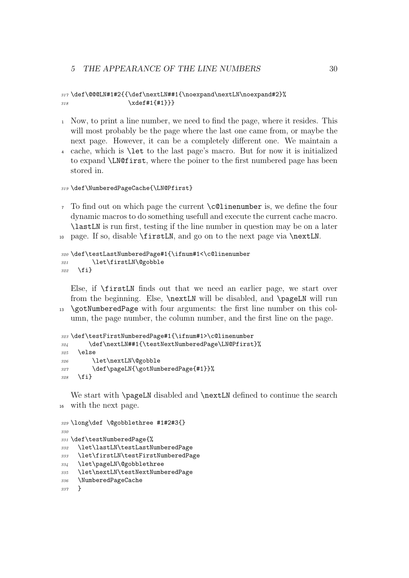```
317 \def\@@@LN#1#2{{\def\nextLN##1{\noexpand\nextLN\noexpand#2}%
318 \chidef#1{#1}}}
```
- Now, to print a line number, we need to find the page, where it resides. This will most probably be the page where the last one came from, or maybe the next page. However, it can be a completely different one. We maintain a
- cache, which is \let to the last page's macro. But for now it is initialized to expand \LN@first, where the poiner to the first numbered page has been stored in.

```
319 \def\NumberedPageCache{\LN@Pfirst}
```
 To find out on which page the current  $\c{$ 0linenumber is, we define the four dynamic macros to do something usefull and execute the current cache macro. \lastLN is run first, testing if the line number in question may be on a later page. If so, disable \firstLN, and go on to the next page via \nextLN.

```
320 \def\testLastNumberedPage#1{\ifnum#1<\c@linenumber
321 \let\firstLN\@gobble
322 \fi}
```
Else, if \firstLN finds out that we need an earlier page, we start over from the beginning. Else, \nextLN will be disabled, and \pageLN will run \gotNumberedPage with four arguments: the first line number on this column, the page number, the column number, and the first line on the page.

```
323 \def\testFirstNumberedPage#1{\ifnum#1>\c@linenumber
324 \def\nextLN##1{\testNextNumberedPage\LN@Pfirst}%
325 \else
326 \let\nextLN\@gobble
327 \def\pageLN{\gotNumberedPage{#1}}%
328 \fi}
```
We start with **\pageLN** disabled and **\nextLN** defined to continue the search with the next page.

```
329 \long\def \@gobblethree #1#2#3{}
330
331 \def\testNumberedPage{%
332 \let\lastLN\testLastNumberedPage
333 \let\firstLN\testFirstNumberedPage
334 \let\pageLN\@gobblethree
335 \let\nextLN\testNextNumberedPage
336 \NumberedPageCache
337 }
```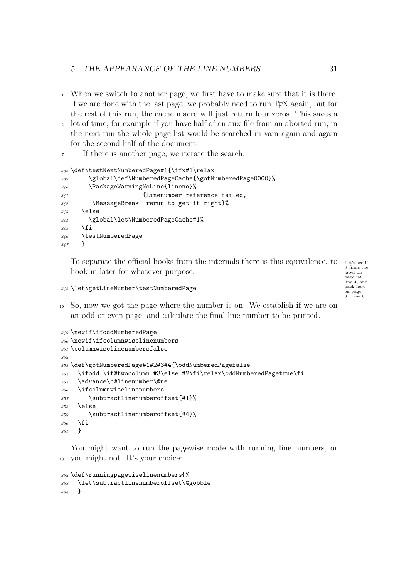#### 5 THE APPEARANCE OF THE LINE NUMBERS 31

- When we switch to another page, we first have to make sure that it is there. If we are done with the last page, we probably need to run TEX again, but for the rest of this run, the cache macro will just return four zeros. This saves a
- lot of time, for example if you have half of an aux-file from an aborted run, in the next run the whole page-list would be searched in vain again and again for the second half of the document.
- If there is another page, we iterate the search.

```
338 \def\testNextNumberedPage#1{\ifx#1\relax
339 \global\def\NumberedPageCache{\gotNumberedPage0000}%
340 \PackageWarningNoLine{lineno}%
341 {Linenumber reference failed,
342 \MessageBreak rerun to get it right}%
343 \else
344 \global\let\NumberedPageCache#1%
345 \fi
346 \testNumberedPage
347 }
```
To separate the official hooks from the internals there is this equivalence, to Let's see if hook in later for whatever purpose:

it finds the label on page 22, line 4, and back here on page 31, line 8.

\let\getLineNumber\testNumberedPage

 So, now we got the page where the number is on. We establish if we are on an odd or even page, and calculate the final line number to be printed.

```
349 \newif\ifoddNumberedPage
350 \newif\ifcolumnwiselinenumbers
351 \columnwiselinenumbersfalse
352
353 \def\gotNumberedPage#1#2#3#4{\oddNumberedPagefalse
354 \ifodd \if@twocolumn #3\else #2\fi\relax\oddNumberedPagetrue\fi
355 \advance\c@linenumber\@ne
356 \ifcolumnwiselinenumbers
357 \subtractlinenumberoffset{#1}%
358 \else
359 \subtractlinenumberoffset{#4}%
360 \fi
361 }
```
You might want to run the pagewise mode with running line numbers, or you might not. It's your choice:

```
362 \def\runningpagewiselinenumbers{%
363 \let\subtractlinenumberoffset\@gobble
364 }
```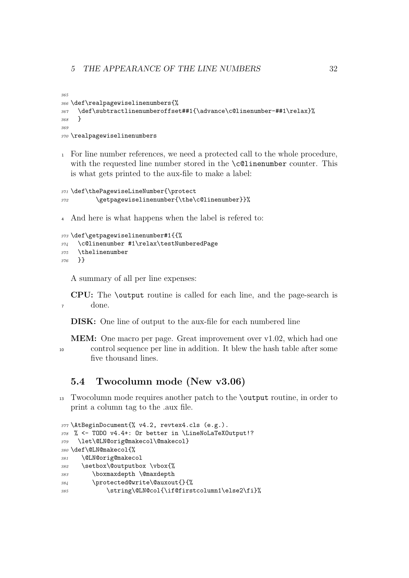```
365
366 \def\realpagewiselinenumbers{%
367 \def\subtractlinenumberoffset##1{\advance\c@linenumber-##1\relax}%
368 }
369
370 \realpagewiselinenumbers
```
 For line number references, we need a protected call to the whole procedure, with the requested line number stored in the **\c@linenumber** counter. This is what gets printed to the aux-file to make a label:

```
371 \def\thePagewiseLineNumber{\protect
372 \getpagewiselinenumber{\the\c@linenumber}}%
```
And here is what happens when the label is refered to:

```
373 \def\getpagewiselinenumber#1{{%
374 \c@linenumber #1\relax\testNumberedPage
375 \thelinenumber
376 }}
```
A summary of all per line expenses:

CPU: The \output routine is called for each line, and the page-search is done.

DISK: One line of output to the aux-file for each numbered line

```
MEM: One macro per page. Great improvement over v1.02, which had one
10 control sequence per line in addition. It blew the hash table after some
        five thousand lines.
```
## 5.4 Twocolumn mode (New v3.06)

 Twocolumn mode requires another patch to the \output routine, in order to print a column tag to the .aux file.

```
377 \AtBeginDocument{% v4.2, revtex4.cls (e.g.).
378 % <- TODO v4.4+: Or better in \LineNoLaTeXOutput!?
379 \let\@LN@orig@makecol\@makecol}
380 \def\@LN@makecol{%
381 \@LN@orig@makecol
382 \setbox\@outputbox \vbox{%
383 \boxmaxdepth \@maxdepth
384 \protected@write\@auxout{}{%
385 \string\@LN@col{\if@firstcolumn1\else2\fi}%
```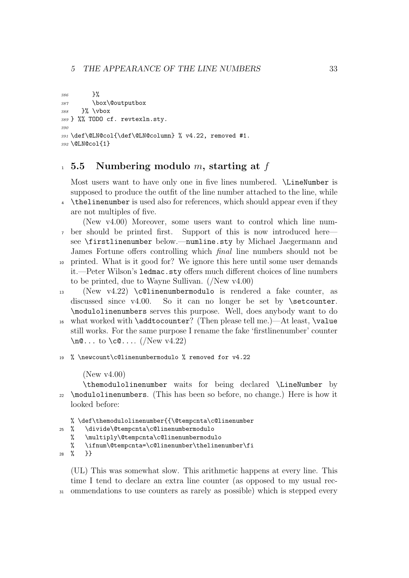```
386 }%
387 \box\@outputbox
388 }% \vbox
389 } %% TODO cf. revtexln.sty.
390
391 \def\@LN@col{\def\@LN@column} % v4.22, removed #1.
392 \@LN@col{1}
```
## $1\,$  5.5 Numbering modulo m, starting at f

Most users want to have only one in five lines numbered. \LineNumber is supposed to produce the outfit of the line number attached to the line, while <sup>4</sup> \thelinenumber is used also for references, which should appear even if they

are not multiples of five.

(New v4.00) Moreover, some users want to control which line num-<sup>7</sup> ber should be printed first. Support of this is now introduced here see \firstlinenumber below.—numline.sty by Michael Jaegermann and James Fortune offers controlling which final line numbers should not be

- <sup>10</sup> printed. What is it good for? We ignore this here until some user demands it.—Peter Wilson's ledmac.sty offers much different choices of line numbers to be printed, due to Wayne Sullivan. (/New v4.00)
- <sup>13</sup> (New v4.22) \c@linenumbermodulo is rendered a fake counter, as discussed since v4.00. So it can no longer be set by **\setcounter.** \modulolinenumbers serves this purpose. Well, does anybody want to do
- <sup>16</sup> what worked with \addtocounter? (Then please tell me.)—At least, \value still works. For the same purpose I rename the fake 'firstlinenumber' counter  $\neq$  0... to  $\ceq$ .... (/New v4.22)
- <sup>19</sup> % \newcount\c@linenumbermodulo % removed for v4.22

#### (New v4.00)

\themodulolinenumber waits for being declared \LineNumber by \modulolinenumbers. (This has been so before, no change.) Here is how it looked before:

% \def\themodulolinenumber{{\@tempcnta\c@linenumber

```
25 % \divide\@tempcnta\c@linenumbermodulo
```
- % \multiply\@tempcnta\c@linenumbermodulo
- % \ifnum\@tempcnta=\c@linenumber\thelinenumber\fi

```
28 % }}
```
(UL) This was somewhat slow. This arithmetic happens at every line. This time I tend to declare an extra line counter (as opposed to my usual rec-<sup>31</sup> ommendations to use counters as rarely as possible) which is stepped every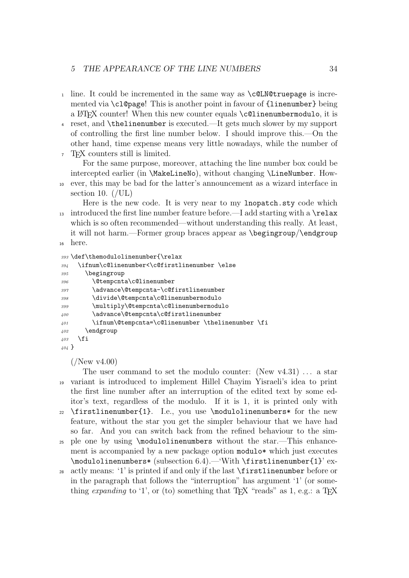- 1 line. It could be incremented in the same way as  $\c{clM@truepage}$  is incremented via \cl@page! This is another point in favour of {linenumber} being a L<sup>AT</sup>EX counter! When this new counter equals  $\c{ell}$  neumbermodulo, it is
- <sup>4</sup> reset, and \thelinenumber is executed.—It gets much slower by my support of controlling the first line number below. I should improve this.—On the other hand, time expense means very little nowadays, while the number of
- <sup>7</sup> TEX counters still is limited.

For the same purpose, moreover, attaching the line number box could be intercepted earlier (in \MakeLineNo), without changing \LineNumber. How-<sup>10</sup> ever, this may be bad for the latter's announcement as a wizard interface in section 10.  $//UL)$ 

Here is the new code. It is very near to my lnopatch.sty code which <sup>13</sup> introduced the first line number feature before.—I add starting with a  $\text{relax}$ which is so often recommended—without understanding this really. At least, it will not harm.—Former group braces appear as \begingroup/\endgroup <sup>16</sup> here.

```
393 \def\themodulolinenumber{\relax
394 \ifnum\c@linenumber<\c@firstlinenumber \else
395 \begingroup
396 \@tempcnta\c@linenumber
397 \advance\@tempcnta-\c@firstlinenumber
398 \divide\@tempcnta\c@linenumbermodulo
399 \multiply\@tempcnta\c@linenumbermodulo
\texttt{{\char'13400}}\qquad \qquad \texttt{{\char'13400}}\qquad \qquad \texttt{{\char'1340}}401 \{101 \{101 \}402 \endgroup
403 \fi
404 }
```
 $($ /New v4.00)

The user command to set the modulo counter: (New  $v4.31$ ) ... a star <sup>19</sup> variant is introduced to implement Hillel Chayim Yisraeli's idea to print the first line number after an interruption of the edited text by some editor's text, regardless of the modulo. If it is 1, it is printed only with <sup>22</sup> \firstlinenumber{1}. I.e., you use \modulolinenumbers\* for the new feature, without the star you get the simpler behaviour that we have had so far. And you can switch back from the refined behaviour to the sim-<sup>25</sup> ple one by using \modulolinenumbers without the star.—This enhancement is accompanied by a new package option modulo\* which just executes \modulolinenumbers\* (subsection 6.4).—'With \firstlinenumber{1}' exactly means: '1' is printed if and only if the last **\firstlinenumber** before or

in the paragraph that follows the "interruption" has argument '1' (or something expanding to '1', or (to) something that  $T_F X$  "reads" as 1, e.g.: a  $T_F X$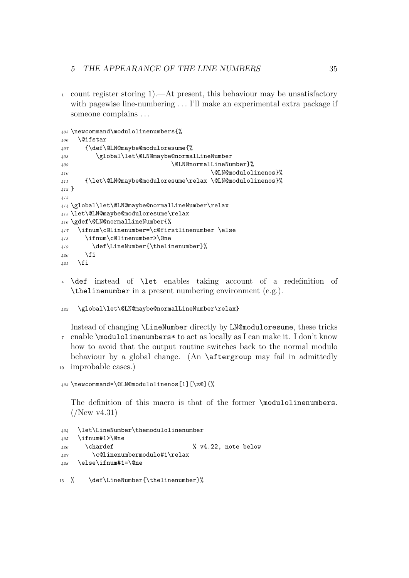#### 5 THE APPEARANCE OF THE LINE NUMBERS 35

 count register storing 1).—At present, this behaviour may be unsatisfactory with pagewise line-numbering ... I'll make an experimental extra package if someone complains . . .

```
405 \newcommand\modulolinenumbers{%
406 \@ifstar
407 {\def\@LN@maybe@moduloresume{%
408 \global\let\@LN@maybe@normalLineNumber
409 \@LN@normalLineNumber}%
410 Allentification Contract Contract Contract Contract Contract Contract Contract Contract Contract Contract Contract Contract Contract Contract Contract Contract Contract Contract Contract Contract Contract Contract Con
411 {\let\@LN@maybe@moduloresume\relax \@LN@modulolinenos}%
412 }
413
414 \global\let\@LN@maybe@normalLineNumber\relax
415 \let\@LN@maybe@moduloresume\relax
416 \gdef\@LN@normalLineNumber{%
417 \ifnum\c@linenumber=\c@firstlinenumber \else
418 \ifnum\c@linenumber>\@ne
419 \def\LineNumber{\thelinenumber}%
\angle420 \fi
421 \fi
```
 \def instead of \let enables taking account of a redefinition of \thelinenumber in a present numbering environment (e.g.).

```
422 \global\let\@LN@maybe@normalLineNumber\relax}
```
Instead of changing \LineNumber directly by LN@moduloresume, these tricks enable \modulolinenumbers\* to act as locally as I can make it. I don't know how to avoid that the output routine switches back to the normal modulo behaviour by a global change. (An \aftergroup may fail in admittedly improbable cases.)

```
423 \newcommand*\@LN@modulolinenos[1][\z@]{%
```
The definition of this macro is that of the former \modulolinenumbers.  $($ /New v4.31)

```
424 \let\LineNumber\themodulolinenumber
425 \ifnum#1>\@ne
426 \chardef \frac{26}{126} \chardef \frac{8}{122}, note below
427 \c@linenumbermodulo#1\relax
428 \else\ifnum#1=\@ne
```

```
13 % \def\LineNumber{\thelinenumber}%
```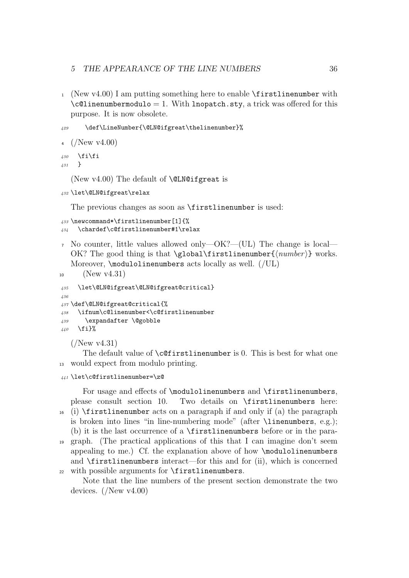#### 5 THE APPEARANCE OF THE LINE NUMBERS 36

1 (New v4.00) I am putting something here to enable  $\frac{1}{\text{irstlinenumber with}}$  $\c{ellinenumber modulo = 1. With Inopatch. sty, a trick was offered for this$ purpose. It is now obsolete.

```
429 \def\LineNumber{\@LN@ifgreat\thelinenumber}%
```

```
4 (New v4.00)
```
<sup>430</sup> \fi\fi <sup>431</sup> }

(New  $v4.00$ ) The default of **\@LN@ifgreat** is

```
432 \let\@LN@ifgreat\relax
```
The previous changes as soon as **\firstlinenumber** is used:

```
433 \newcommand*\firstlinenumber[1]{%
434 \chardef\c@firstlinenumber#1\relax
```
<sup>7</sup> No counter, little values allowed only—OK?—(UL) The change is local— OK? The good thing is that  $\cdot$  (plobal $\frac{in \mathbb{N}}{number}$ ) works. Moreover,  $\mod$  inenumbers acts locally as well. (*IUL*)

```
10 (New v4.31)
```

```
435 \let\@LN@ifgreat\@LN@ifgreat@critical}
436
437 \def\@LN@ifgreat@critical{%
438 \ifnum\c@linenumber<\c@firstlinenumber
439 \expandafter \@gobble
440 \fi}%
```
 $($ /New v4.31)

The default value of **\c@firstlinenumber** is 0. This is best for what one <sup>13</sup> would expect from modulo printing.

```
441 \let\c@firstlinenumber=\z@
```
For usage and effects of \modulolinenumbers and \firstlinenumbers, please consult section 10. Two details on \firstlinenumbers here:  $_{16}$  (i) \firstlinenumber acts on a paragraph if and only if (a) the paragraph

is broken into lines "in line-numbering mode" (after \linenumbers, e.g.); (b) it is the last occurrence of a \firstlinenumbers before or in the para-

<sup>19</sup> graph. (The practical applications of this that I can imagine don't seem appealing to me.) Cf. the explanation above of how \modulolinenumbers and \firstlinenumbers interact—for this and for (ii), which is concerned <sup>22</sup> with possible arguments for \firstlinenumbers.

Note that the line numbers of the present section demonstrate the two devices. (/New v4.00)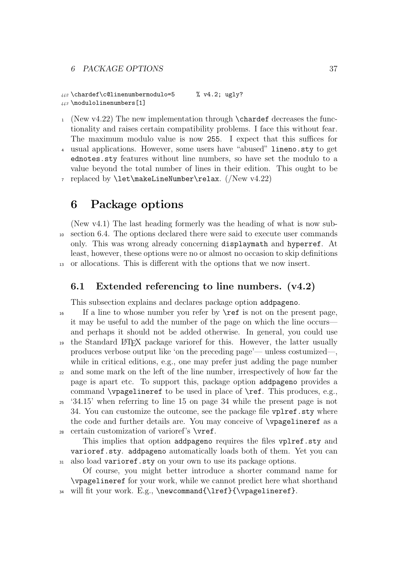442 \chardef\c@linenumbermodulo=5 % v4.2; ugly? <sup>443</sup> \modulolinenumbers[1]

- $_1$  (New v4.22) The new implementation through \chardef decreases the functionality and raises certain compatibility problems. I face this without fear. The maximum modulo value is now 255. I expect that this suffices for
- <sup>4</sup> usual applications. However, some users have "abused" lineno.sty to get ednotes.sty features without line numbers, so have set the modulo to a value beyond the total number of lines in their edition. This ought to be

7 replaced by  $\let\makerow\text{number\relax. (New v4.22)}$ 

## 6 Package options

(New v4.1) The last heading formerly was the heading of what is now sub-<sup>10</sup> section 6.4. The options declared there were said to execute user commands only. This was wrong already concerning displaymath and hyperref. At least, however, these options were no or almost no occasion to skip definitions <sup>13</sup> or allocations. This is different with the options that we now insert.

## 6.1 Extended referencing to line numbers. (v4.2)

This subsection explains and declares package option addpageno.

<sup>16</sup> If a line to whose number you refer by  $\ref$  is not on the present page, it may be useful to add the number of the page on which the line occurs and perhaps it should not be added otherwise. In general, you could use <sup>19</sup> the Standard LATEX package varioref for this. However, the latter usually produces verbose output like 'on the preceding page'— unless costumized—, while in critical editions, e.g., one may prefer just adding the page number <sup>22</sup> and some mark on the left of the line number, irrespectively of how far the page is apart etc. To support this, package option addpageno provides a command \vpagelineref to be used in place of \ref. This produces, e.g.,

<sup>25</sup> '34.15' when referring to line 15 on page 34 while the present page is not 34. You can customize the outcome, see the package file vplref.sty where the code and further details are. You may conceive of \vpagelineref as a <sup>28</sup> certain customization of varioref's \vref.

This implies that option addpageno requires the files vplref.sty and varioref.sty. addpageno automatically loads both of them. Yet you can <sup>31</sup> also load varioref.sty on your own to use its package options.

Of course, you might better introduce a shorter command name for \vpagelineref for your work, while we cannot predict here what shorthand 34 will fit your work. E.g., \newcommand{\lref}{\vpagelineref}.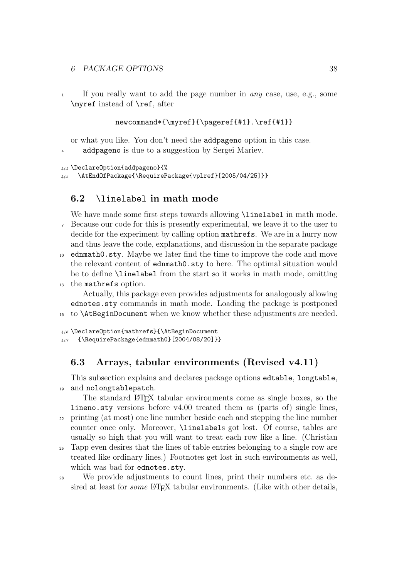#### 6 PACKAGE OPTIONS 38

<sup>1</sup> If you really want to add the page number in any case, use, e.g., some \myref instead of \ref, after

```
newcommand*{\myref}{\pageref{#1}.\ref{#1}}
```
or what you like. You don't need the addpageno option in this case.

<sup>4</sup> addpageno is due to a suggestion by Sergei Mariev.

```
444 \DeclareOption{addpageno}{%
```

```
445 \AtEndOfPackage{\RequirePackage{vplref}[2005/04/25]}}
```
## 6.2 \linelabel in math mode

We have made some first steps towards allowing *\linelabel* in math mode. <sup>7</sup> Because our code for this is presently experimental, we leave it to the user to decide for the experiment by calling option mathrefs. We are in a hurry now and thus leave the code, explanations, and discussion in the separate package

- <sup>10</sup> ednmath0.sty. Maybe we later find the time to improve the code and move the relevant content of ednmath0.sty to here. The optimal situation would be to define \linelabel from the start so it works in math mode, omitting
- <sup>13</sup> the mathrefs option.

Actually, this package even provides adjustments for analogously allowing ednotes.sty commands in math mode. Loading the package is postponed <sup>16</sup> to \AtBeginDocument when we know whether these adjustments are needed.

```
446 \DeclareOption{mathrefs}{\AtBeginDocument
447 {\RequirePackage{ednmath0}[2004/08/20]}}
```
## 6.3 Arrays, tabular environments (Revised v4.11)

This subsection explains and declares package options edtable, longtable, <sup>19</sup> and nolongtablepatch.

The standard LAT<sub>EX</sub> tabular environments come as single boxes, so the lineno.sty versions before v4.00 treated them as (parts of) single lines, <sup>22</sup> printing (at most) one line number beside each and stepping the line number counter once only. Moreover, \linelabels got lost. Of course, tables are usually so high that you will want to treat each row like a line. (Christian

<sup>25</sup> Tapp even desires that the lines of table entries belonging to a single row are treated like ordinary lines.) Footnotes get lost in such environments as well, which was bad for ednotes.sty.

<sup>28</sup> We provide adjustments to count lines, print their numbers etc. as desired at least for *some* LATEX tabular environments. (Like with other details,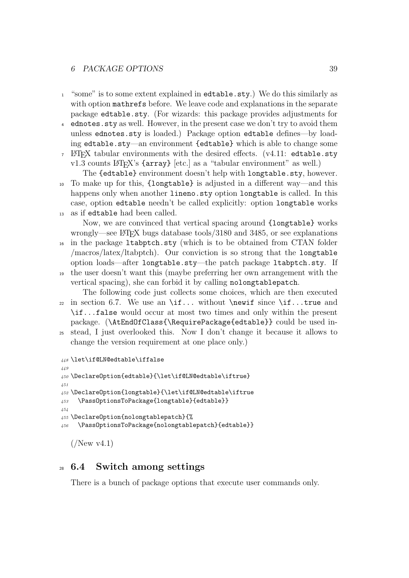#### 6 PACKAGE OPTIONS 39

- <sup>1</sup> "some" is to some extent explained in edtable.sty.) We do this similarly as with option mathrefs before. We leave code and explanations in the separate package edtable.sty. (For wizards: this package provides adjustments for
- <sup>4</sup> ednotes.sty as well. However, in the present case we don't try to avoid them unless ednotes.sty is loaded.) Package option edtable defines—by loading edtable.sty—an environment {edtable} which is able to change some
- $\Delta F$ <sub>EX</sub> tabular environments with the desired effects. (v4.11: edtable.sty  $v1.3$  counts LAT<sub>EX</sub>'s {array} [etc.] as a "tabular environment" as well.)

The {edtable} environment doesn't help with longtable.sty, however. <sup>10</sup> To make up for this, {longtable} is adjusted in a different way—and this happens only when another lineno.sty option longtable is called. In this case, option edtable needn't be called explicitly: option longtable works as if edtable had been called.

Now, we are convinced that vertical spacing around {longtable} works wrongly—see LATEX bugs database tools/3180 and 3485, or see explanations <sup>16</sup> in the package ltabptch.sty (which is to be obtained from CTAN folder

- /macros/latex/ltabptch). Our conviction is so strong that the longtable option loads—after longtable.sty—the patch package ltabptch.sty. If <sup>19</sup> the user doesn't want this (maybe preferring her own arrangement with the
- vertical spacing), she can forbid it by calling nolongtablepatch. The following code just collects some choices, which are then executed

22 in section 6.7. We use an  $\if...$  without  $\newcommand{\mbox}{i.1}$  without  $\newcommand{\mbox}{i.1}$  since  $\if...$  true and \if...false would occur at most two times and only within the present package. (\AtEndOfClass{\RequirePackage{edtable}} could be used in-

<sup>25</sup> stead, I just overlooked this. Now I don't change it because it allows to change the version requirement at one place only.)

```
448 \let\if@LN@edtable\iffalse
449
450 \DeclareOption{edtable}{\let\if@LN@edtable\iftrue}
451
452 \DeclareOption{longtable}{\let\if@LN@edtable\iftrue
453 \PassOptionsToPackage{longtable}{edtable}}
454
455 \DeclareOption{nolongtablepatch}{%
456 \PassOptionsToPackage{nolongtablepatch}{edtable}}
```
 $($ /New v4.1)

## <sup>28</sup> 6.4 Switch among settings

There is a bunch of package options that execute user commands only.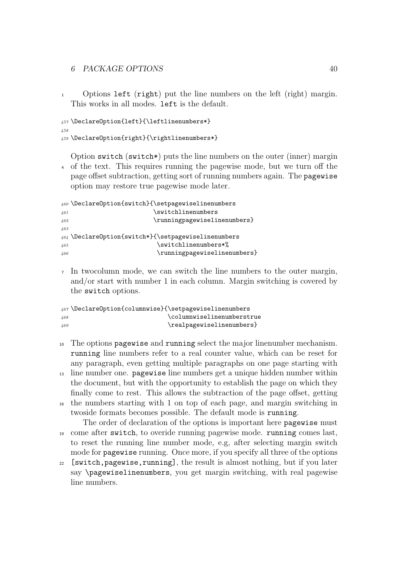<sup>1</sup> Options left (right) put the line numbers on the left (right) margin. This works in all modes. left is the default.

```
457 \DeclareOption{left}{\leftlinenumbers*}
458
459 \DeclareOption{right}{\rightlinenumbers*}
```
Option switch (switch\*) puts the line numbers on the outer (inner) margin <sup>4</sup> of the text. This requires running the pagewise mode, but we turn off the page offset subtraction, getting sort of running numbers again. The pagewise option may restore true pagewise mode later.

```
460 \DeclareOption{switch}{\setpagewiselinenumbers
461 \sqrt{461}462 \runningpagewiselinenumbers}
463
464 \DeclareOption{switch*}{\setpagewiselinenumbers
465 \switchlinenumbers*%
466 \runningpagewiselinenumbers}
```
<sup>7</sup> In twocolumn mode, we can switch the line numbers to the outer margin, and/or start with number 1 in each column. Margin switching is covered by the switch options.

```
467 \DeclareOption{columnwise}{\setpagewiselinenumbers
468 \columnwiselinenumberstrue
469 \realpagewiselinenumbers}
```
- <sup>10</sup> The options pagewise and running select the major linenumber mechanism. running line numbers refer to a real counter value, which can be reset for any paragraph, even getting multiple paragraphs on one page starting with
- <sup>13</sup> line number one. pagewise line numbers get a unique hidden number within the document, but with the opportunity to establish the page on which they finally come to rest. This allows the subtraction of the page offset, getting
- <sup>16</sup> the numbers starting with 1 on top of each page, and margin switching in twoside formats becomes possible. The default mode is running.
- The order of declaration of the options is important here pagewise must <sup>19</sup> come after switch, to overide running pagewise mode. running comes last, to reset the running line number mode, e.g, after selecting margin switch mode for pagewise running. Once more, if you specify all three of the options
- <sup>22</sup> [switch,pagewise,running], the result is almost nothing, but if you later say \pagewiselinenumbers, you get margin switching, with real pagewise line numbers.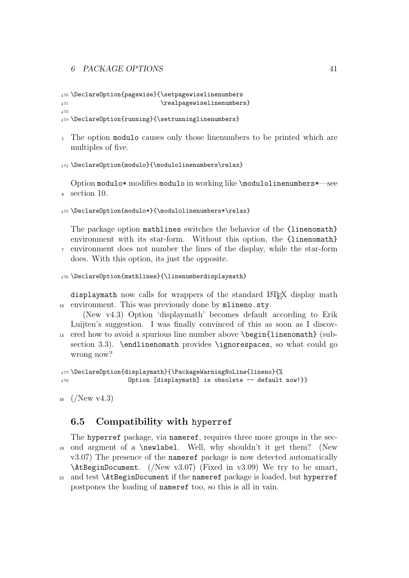#### 6 PACKAGE OPTIONS 41

```
470 \DeclareOption{pagewise}{\setpagewiselinenumbers
471 (and the settlement of the settlement of the settlement of the settlement of the settlement of the settlement of the settlement of the settlement of the settlement of the settlement of the settlement of the settlement 
472
```

```
473 \DeclareOption{running}{\setrunninglinenumbers}
```
<sup>1</sup> The option modulo causes only those linenumbers to be printed which are multiples of five.

```
474 \DeclareOption{modulo}{\modulolinenumbers\relax}
```
Option modulo\* modifies modulo in working like \modulolinenumbers\*—see <sup>4</sup> section 10.

```
475 \DeclareOption{modulo*}{\modulolinenumbers*\relax}
```
The package option mathlines switches the behavior of the {linenomath} environment with its star-form. Without this option, the {linenomath} <sup>7</sup> environment does not number the lines of the display, while the star-form

```
does. With this option, its just the opposite.
```

```
476 \DeclareOption{mathlines}{\linenumberdisplaymath}
```
displaymath now calls for wrappers of the standard LATEX display math <sup>10</sup> environment. This was previously done by mlineno.sty.

(New v4.3) Option 'displaymath' becomes default according to Erik Luijten's suggestion. I was finally convinced of this as soon as I discov-<sup>13</sup> ered how to avoid a spurious line number above \begin{linenomath} (subsection 3.3). \endlinenomath provides \ignorespaces, so what could go wrong now?

```
477 \DeclareOption{displaymath}{\PackageWarningNoLine{lineno}{%
478 Option [displaymath] is obsolete -- default now!}}
```

```
_{16} (/New v4.3)
```
## 6.5 Compatibility with hyperref

The hyperref package, via nameref, requires three more groups in the sec-<sup>19</sup> ond argment of a \newlabel. Well, why shouldn't it get them? (New v3.07) The presence of the nameref package is now detected automatically \AtBeginDocument. (/New v3.07) (Fixed in v3.09) We try to be smart, <sup>22</sup> and test \AtBeginDocument if the nameref package is loaded, but hyperref postpones the loading of nameref too, so this is all in vain.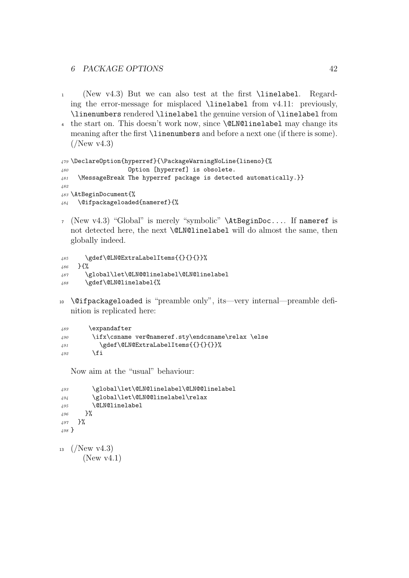#### 6 PACKAGE OPTIONS 42

- (New v4.3) But we can also test at the first \linelabel. Regarding the error-message for misplaced \linelabel from v4.11: previously, \linenumbers rendered \linelabel the genuine version of \linelabel from
- the start on. This doesn't work now, since \@LN@linelabel may change its meaning after the first \linenumbers and before a next one (if there is some).  $\left(\sqrt{\text{New v4.3}}\right)$

```
479 \DeclareOption{hyperref}{\PackageWarningNoLine{lineno}{%
480 Option [hyperref] is obsolete.
481 \MessageBreak The hyperref package is detected automatically.}}
482
483 \AtBeginDocument{%
484 \@ifpackageloaded{nameref}{%
```
 (New v4.3) "Global" is merely "symbolic" \AtBeginDoc.... If nameref is not detected here, the next \@LN@linelabel will do almost the same, then globally indeed.

```
485 \gdef\@LN@ExtraLabelItems{{}{}{}}%
486 }{%
487 \global\let\@LN@@linelabel\@LN@linelabel
488 \gdef\@LN@linelabel{%
```
 \@ifpackageloaded is "preamble only", its—very internal—preamble definition is replicated here:

```
489 \expandafter
490 \ifx\csname ver@nameref.sty\endcsname\relax \else
491 \gdef\@LN@ExtraLabelItems{{}{}{}}%
\sqrt{492} \fi
```
Now aim at the "usual" behaviour:

```
493 \global\let\@LN@linelabel\@LN@@linelabel
494 \global\let\@LN@@linelabel\relax
495 \@LN@linelabel
496 }%
497 }%
498 }
13 \frac{(New \text{ v}4.3)}{2}(New v4.1)
```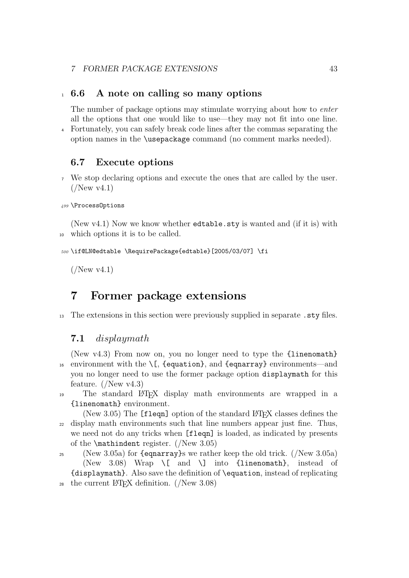## <sup>1</sup> 6.6 A note on calling so many options

The number of package options may stimulate worrying about how to enter all the options that one would like to use—they may not fit into one line. <sup>4</sup> Fortunately, you can safely break code lines after the commas separating the

option names in the \usepackage command (no comment marks needed).

## 6.7 Execute options

<sup>7</sup> We stop declaring options and execute the ones that are called by the user.  $(New v4.1)$ 

<sup>499</sup> \ProcessOptions

(New v4.1) Now we know whether edtable.sty is wanted and (if it is) with <sup>10</sup> which options it is to be called.

```
500 \if@LN@edtable \RequirePackage{edtable}[2005/03/07] \fi
```
 $($ /New v4.1)

## 7 Former package extensions

<sup>13</sup> The extensions in this section were previously supplied in separate .sty files.

### 7.1 displaymath

(New v4.3) From now on, you no longer need to type the {linenomath} 16 environment with the  $\{$ , {equation}, and {eqnarray} environments—and you no longer need to use the former package option displaymath for this feature.  $(New v4.3)$ 

<sup>19</sup> The standard LATEX display math environments are wrapped in a {linenomath} environment.

(New 3.05) The  $[flagn]$  option of the standard  $\mathbb{P}T_FX$  classes defines the <sup>22</sup> display math environments such that line numbers appear just fine. Thus, we need not do any tricks when [fleqn] is loaded, as indicated by presents of the  $\mathcal{I}$  register. ( $\mathcal{I}$  New 3.05)

<sup>25</sup> (New 3.05a) for  $\{\text{egnarray}\}$  we rather keep the old trick. (/New 3.05a) (New 3.08) Wrap \[ and \] into {linenomath}, instead of {displaymath}. Also save the definition of \equation, instead of replicating 28 the current LAT<sub>E</sub>X definition. ( $New 3.08$ )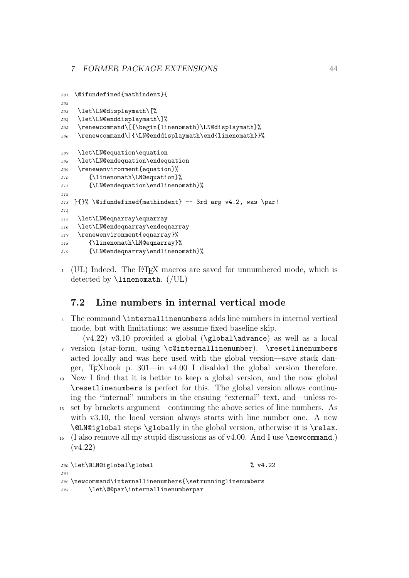```
501 \@ifundefined{mathindent}{
502
503 \let\LN@displaymath\[%
504 \let\LN@enddisplaymath\]%
505 \renewcommand\[{\begin{linenomath}\LN@displaymath}%
506 \renewcommand\]{\LN@enddisplaymath\end{linenomath}}%
507 \let\LN@equation\equation
508 \let\LN@endequation\endequation
509 \renewenvironment{equation}%
510 {\linenomath\LN@equation}%
511 {\LN@endequation\endlinenomath}%
512
513 }{}% \@ifundefined{mathindent} -- 3rd arg v4.2, was \par!
514
515 \let\LN@eqnarray\eqnarray
516 \let\LN@endeqnarray\endeqnarray
517 \renewenvironment{eqnarray}%
518 {\linenomath\LN@eqnarray}%
519 {\LN@endeqnarray\endlinenomath}%
```
<sup>1</sup> (UL) Indeed. The LATEX macros are saved for unnumbered mode, which is detected by  $\langle$ linenomath.  $//UL$ 

## 7.2 Line numbers in internal vertical mode

- The command \internallinenumbers adds line numbers in internal vertical mode, but with limitations: we assume fixed baseline skip.
- $(v4.22)$  v3.10 provided a global (\global\advance) as well as a local version (star-form, using \c@internallinenumber). \resetlinenumbers acted locally and was here used with the global version—save stack danger, T<sub>E</sub>Xbook p. 301—in v4.00 I disabled the global version therefore.
- Now I find that it is better to keep a global version, and the now global \resetlinenumbers is perfect for this. The global version allows continuing the "internal" numbers in the ensuing "external" text, and—unless re-
- set by brackets argument—continuing the above series of line numbers. As with v3.10, the local version always starts with line number one. A new \@LN@iglobal steps \globally in the global version, otherwise it is \relax.
- $_{16}$  (I also remove all my stupid discussions as of v4.00. And I use \newcommand.) (v4.22)

```
520 \let\@LN@iglobal\global % v4.22
521
522 \newcommand\internallinenumbers{\setrunninglinenumbers
523 \let\@@par\internallinenumberpar
```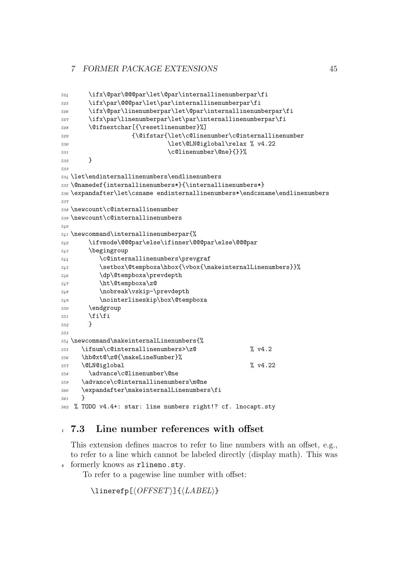```
524 \ifx\@par\@@@par\let\@par\internallinenumberpar\fi
525 \ifx\par\@@@par\let\par\internallinenumberpar\fi
526 \ifx\@par\linenumberpar\let\@par\internallinenumberpar\fi
527 \ifx\par\linenumberpar\let\par\internallinenumberpar\fi
528 \@ifnextchar[{\resetlinenumber}%]
529 {\@ifstar{\let\c@linenumber\c@internallinenumber
530 \let\@LN@iglobal\relax % v4.22
531 \c@linenumber\@ne}{}}%
532 }
533
534 \let\endinternallinenumbers\endlinenumbers
535 \@namedef{internallinenumbers*}{\internallinenumbers*}
536 \expandafter\let\csname endinternallinenumbers*\endcsname\endlinenumbers
537
538 \newcount\c@internallinenumber
539 \newcount\c@internallinenumbers
540
541 \newcommand\internallinenumberpar{%
542 \ifvmode\@@@par\else\ifinner\@@@par\else\@@@par
543 \begingroup
544 \c@internallinenumbers\prevgraf
545 \setbox\@tempboxa\hbox{\rbox{\makeinternalLinenumbers}}%
546 \dp\@tempboxa\prevdepth
547 \ht\@tempboxa\z@
548 \nobreak\vskip-\prevdepth
549 \nointerlineskip\box\@tempboxa
550 \endgroup
551 \fi\fi
550 }
553
554 \newcommand\makeinternalLinenumbers{%
555 \ifnum\c@internallinenumbers>\z@ % v4.2
556 \hb@xt@\z@{\makeLineNumber}%
557 \CLNCiglobal \% v4.22
558 \advance\c@linenumber\@ne
559 \advance\c@internallinenumbers\m@ne
560 \expandafter\makeinternalLinenumbers\fi
561 }
562 % TODO v4.4+: star: line numbers right!? cf. lnocapt.sty
```
## 7.3 Line number references with offset

This extension defines macros to refer to line numbers with an offset, e.g., to refer to a line which cannot be labeled directly (display math). This was formerly knows as rlineno.sty.

To refer to a pagewise line number with offset:

 $\langle$ linerefp[ $\langle$ OFFSET $\rangle$ ]{ $\langle$ LABEL $\rangle$ }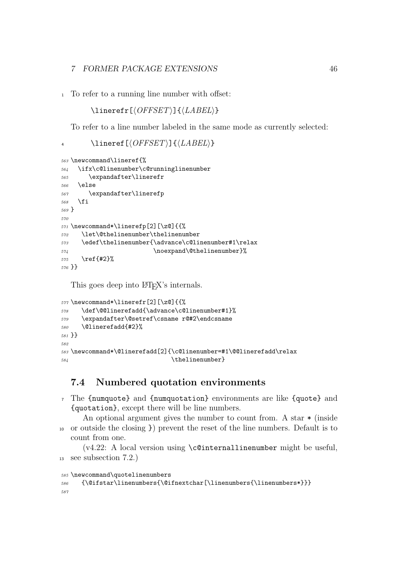To refer to a running line number with offset:

```
\langle OFFSET \rangle]{\langle LABEL \rangle}
```
To refer to a line number labeled in the same mode as currently selected:

4 \lineref[ $\langle OFFSET \rangle$ ]{ $\langle LABEL \rangle$ }

```
563 \newcommand\lineref{%
564 \ifx\c@linenumber\c@runninglinenumber
565 \expandafter\linerefr
566 \else
567 \expandafter\linerefp
568 \fi
569 }
570
571 \newcommand*\linerefp[2][\z@]{{%
572 \let\@thelinenumber\thelinenumber
573 \edef\thelinenumber{\advance\c@linenumber#1\relax
574 \noexpand\@thelinenumber}%
575 \ref{#2}%
576 }}
```
This goes deep into LAT<sub>EX</sub>'s internals.

```
577 \newcommand*\linerefr[2][\z@]{{%
578 \def\@@linerefadd{\advance\c@linenumber#1}%
579 \expandafter\@setref\csname r@#2\endcsname
580 \@linerefadd{#2}%
581 }}
582
583 \newcommand*\@linerefadd[2]{\c@linenumber=#1\@@linerefadd\relax
584 \thelinenumber}
```
## 7.4 Numbered quotation environments

 The {numquote} and {numquotation} environments are like {quote} and {quotation}, except there will be line numbers.

An optional argument gives the number to count from. A star  $*$  (inside or outside the closing }) prevent the reset of the line numbers. Default is to count from one.

(v4.22: A local version using \c@internallinenumber might be useful, see subsection 7.2.)

```
585 \newcommand\quotelinenumbers
```

```
586 {\@ifstar\linenumbers{\@ifnextchar[\linenumbers{\linenumbers*}}}
587
```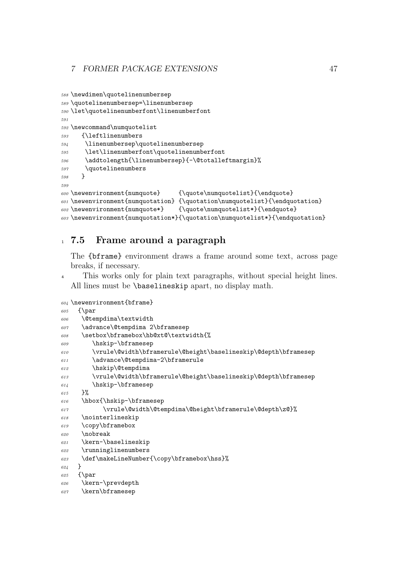```
588 \newdimen\quotelinenumbersep
589 \quotelinenumbersep=\linenumbersep
590 \let\quotelinenumberfont\linenumberfont
591
592 \newcommand\numquotelist
593 {\leftlinenumbers
594 \linenumbersep\quotelinenumbersep
595 \let\linenumberfont\quotelinenumberfont
596 \addtolength{\linenumbersep}{-\@totalleftmargin}%
597 \quotelinenumbers
598 }
599
600 \newenvironment{numquote} {\quote\numquotelist}{\endquote}
601 \newenvironment{numquotation} {\quotation\numquotelist}{\endquotation}
602 \newenvironment{numquote*} {\quote\numquotelist*}{\endquote}
603 \newenvironment{numquotation*}{\quotation\numquotelist*}{\endquotation}
```
## 7.5 Frame around a paragraph

The {bframe} environment draws a frame around some text, across page breaks, if necessary.

<sup>4</sup> This works only for plain text paragraphs, without special height lines. All lines must be \baselineskip apart, no display math.

```
604 \newenvironment{bframe}
605 {\par
606 \@tempdima\textwidth
607 \advance\@tempdima 2\bframesep
608 \setbox\bframebox\hb@xt@\textwidth{%
609 \hskip-\bframesep
610 \vrule\@width\bframerule\@height\baselineskip\@depth\bframesep
611 \advance\@tempdima-2\bframerule
612 \hskip\@tempdima
613 \vrule\@width\bframerule\@height\baselineskip\@depth\bframesep
614 \hskip-\bframesep
615 }%
616 \hbox{\hskip-\bframesep
617 \vrule\@width\@tempdima\@height\bframerule\@depth\z@}%
618 \nointerlineskip
619 \copy\bframebox
620 \nobreak
621 \kern-\baselineskip
622 \runninglinenumbers
623 \def\makeLineNumber{\copy\bframebox\hss}%
624 }
625 {\par
626 \kern-\prevdepth
627 \kern\bframesep
```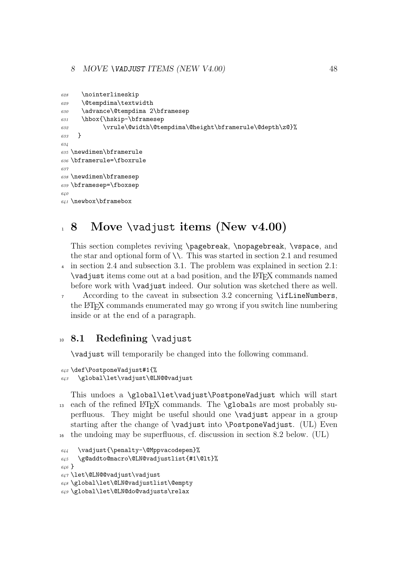```
628 \nointerlineskip
629 \@tempdima\textwidth
630 \advance\@tempdima 2\bframesep
631 \hbox{\hskip-\bframesep
632 \vrule\@width\@tempdima\@height\bframerule\@depth\z@}%
633 - 3634
635 \newdimen\bframerule
636 \bframerule=\fboxrule
697638 \newdimen\bframesep
639 \bframesep=\fboxsep
640
641 \newbox\bframebox
```
## Move \vadjust items (New v4.00)

This section completes reviving \pagebreak, \nopagebreak, \vspace, and the star and optional form of  $\setminus\$ . This was started in section 2.1 and resumed in section 2.4 and subsection 3.1. The problem was explained in section 2.1: \vadjust items come out at a bad position, and the LATEX commands named before work with \vadjust indeed. Our solution was sketched there as well.

 According to the caveat in subsection 3.2 concerning \ifLineNumbers, the LATEX commands enumerated may go wrong if you switch line numbering inside or at the end of a paragraph.

## <sup>10</sup> 8.1 Redefining \vadjust

\vadjust will temporarily be changed into the following command.

```
642 \def\PostponeVadjust#1{%
643 \global\let\vadjust\@LN@@vadjust
```
This undoes a \global\let\vadjust\PostponeVadjust which will start 13 each of the refined LAT<sub>EX</sub> commands. The **\globals** are most probably superfluous. They might be useful should one \vadjust appear in a group starting after the change of \vadjust into \PostponeVadjust. (UL) Even the undoing may be superfluous, cf. discussion in section 8.2 below. (UL)

```
644 \vadjust{\penalty-\@Mppvacodepen}%
645 \g@addto@macro\@LN@vadjustlist{#1\@lt}%
646 }
647 \let\@LN@@vadjust\vadjust
648 \global\let\@LN@vadjustlist\@empty
649 \global\let\@LN@do@vadjusts\relax
```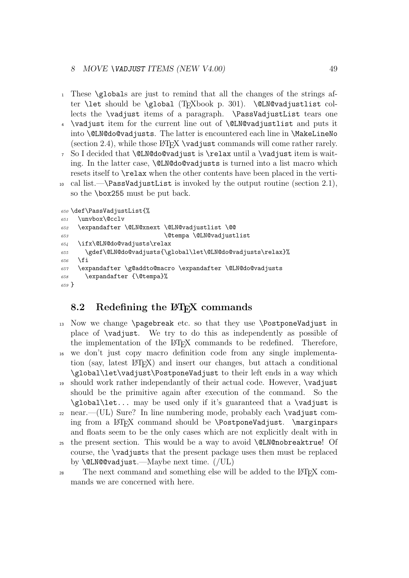- <sup>1</sup> These \globals are just to remind that all the changes of the strings after \let should be \global (TEXbook p. 301). \@LN@vadjustlist collects the \vadjust items of a paragraph. \PassVadjustList tears one
- <sup>4</sup> \vadjust item for the current line out of \@LN@vadjustlist and puts it into \@LN@do@vadjusts. The latter is encountered each line in \MakeLineNo (section 2.4), while those  $\langle \text{FFR} \rangle$  \vadjust commands will come rather rarely.
- <sup>7</sup> So I decided that \@LN@do@vadjust is \relax until a \vadjust item is waiting. In the latter case, **\@LN@do@vadjusts** is turned into a list macro which resets itself to \relax when the other contents have been placed in the verti-
- 10 cal list.— $\text{PassVadjustList}$  is invoked by the output routine (section 2.1), so the \box255 must be put back.

```
650 \def\PassVadjustList{%
651 \unvbox\@cclv
652 \expandafter \@LN@xnext \@LN@vadjustlist \@@
653 \@tempa \@LN@vadjustlist
654 \ifx\@LN@do@vadjusts\relax
655 \gdef\@LN@do@vadjusts{\global\let\@LN@do@vadjusts\relax}%
656 \fi
657 \expandafter \g@addto@macro \expandafter \@LN@do@vadjusts
658 \expandafter {\@tempa}%
659 }
```
## 8.2 Redefining the LAT<sub>EX</sub> commands

- 13 Now we change  $\text{etc}$  acts. so that they use  $\text{postponeVad}$  in place of \vadjust. We try to do this as independently as possible of the implementation of the LATEX commands to be redefined. Therefore,
- <sup>16</sup> we don't just copy macro definition code from any single implementation (say, latest LATEX) and insert our changes, but attach a conditional \global\let\vadjust\PostponeVadjust to their left ends in a way which
- <sup>19</sup> should work rather independantly of their actual code. However, \vadjust should be the primitive again after execution of the command. So the \global\let... may be used only if it's guaranteed that a \vadjust is
- $_{22}$  near.—(UL) Sure? In line numbering mode, probably each **\vadjust** coming from a LAT<sub>EX</sub> command should be \PostponeVadjust. \marginpars and floats seem to be the only cases which are not explicitly dealt with in
- the present section. This would be a way to avoid **\@LN@nobreaktrue!** Of course, the \vadjusts that the present package uses then must be replaced by \@LN@@vadjust.—Maybe next time. (/UL)
- <sup>28</sup> The next command and something else will be added to the L<sup>AT</sup>EX commands we are concerned with here.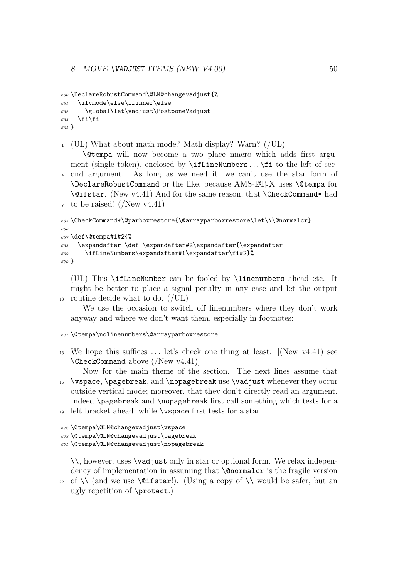#### 8 MOVE \VADJUST ITEMS (NEW V4.00) 50

```
660 \DeclareRobustCommand\@LN@changevadjust{%
661 \ifvmode\else\ifinner\else
662 \global\let\vadjust\PostponeVadjust
663 \fi\fi
664 }
```
<sup>1</sup> (UL) What about math mode? Math display? Warn? (/UL)

\@tempa will now become a two place macro which adds first argument (single token), enclosed by \ifLineNumbers ... \fi to the left of sec-<sup>4</sup> ond argument. As long as we need it, we can't use the star form of \DeclareRobustCommand or the like, because AMS-L<sup>AT</sup>FX uses \@tempa for \@ifstar. (New v4.41) And for the same reason, that \CheckCommand\* had  $\tau$  to be raised! (/New v4.41)

```
665 \CheckCommand*\@parboxrestore{\@arrayparboxrestore\let\\\@normalcr}
666
667 \text{Set}Otempa#1#2{%
668 \expandafter \def \expandafter#2\expandafter{\expandafter}
669 \ifLineNumbers\expandafter#1\expandafter\fi#2}%
670 }
```
(UL) This \ifLineNumber can be fooled by \linenumbers ahead etc. It might be better to place a signal penalty in any case and let the output <sup>10</sup> routine decide what to do. (/UL)

We use the occasion to switch off linenumbers where they don't work anyway and where we don't want them, especially in footnotes:

#### <sup>671</sup> \@tempa\nolinenumbers\@arrayparboxrestore

- <sup>13</sup> We hope this suffices  $\dots$  let's check one thing at least:  $[(New v4.41)$  see \CheckCommand above (/New v4.41)]
- Now for the main theme of the section. The next lines assume that <sup>16</sup> \vspace, \pagebreak, and \nopagebreak use \vadjust whenever they occur outside vertical mode; moreover, that they don't directly read an argument. Indeed \pagebreak and \nopagebreak first call something which tests for a

```
19 left bracket ahead, while \vspace first tests for a star.
```

```
672 \@tempa\@LN@changevadjust\vspace
```

```
673 \@tempa\@LN@changevadjust\pagebreak
```

```
674 \@tempa\@LN@changevadjust\nopagebreak
```
\\, however, uses \vadjust only in star or optional form. We relax independency of implementation in assuming that \@normalcr is the fragile version

22 of  $\setminus$  (and we use  $\exists$  istar!). (Using a copy of  $\setminus$  would be safer, but an ugly repetition of \protect.)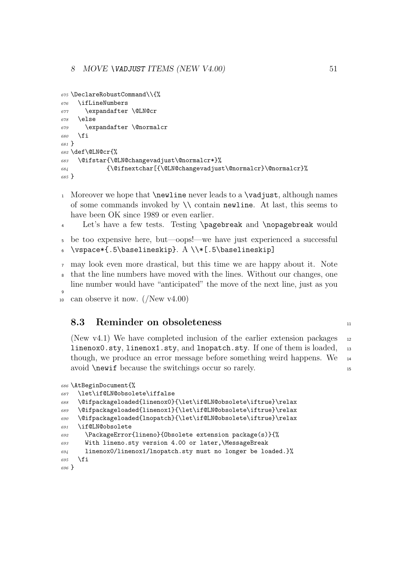```
675 \DeclareRobustCommand\\{%
676 \ifLineNumbers
677 \expandafter \@LN@cr
678 \else
679 \expandafter \@normalcr
680 \fi
681 }
682 \def\@LN@cr{%
683 \@ifstar{\@LN@changevadjust\@normalcr*}%
\texttt{684} \label{thm:49} $$685 }
```
- 1 Moreover we hope that  $\neq$  newline never leads to a  $\vedge$  vadjust, although names of some commands invoked by  $\setminus \setminus$  contain newline. At last, this seems to have been OK since 1989 or even earlier.
- 4 Let's have a few tests. Testing \pagebreak and \nopagebreak would
- be too expensive here, but—oops!—we have just experienced a successful 6 \vspace\*{.5\baselineskip}.  $A \ \{F.5\baselineskip\}$
- may look even more drastical, but this time we are happy about it. Note
- that the line numbers have moved with the lines. Without our changes, one line number would have "anticipated" the move of the next line, just as you
- 10 can observe it now.  $(New v4.00)$

### 8.3 Reminder on obsoleteness 11

(New v4.1) We have completed inclusion of the earlier extension packages  $_{12}$ linenox0.sty, linenox1.sty, and lnopatch.sty. If one of them is loaded, <sup>13</sup> though, we produce an error message before something weird happens. We <sup>14</sup> avoid \newif because the switchings occur so rarely.

```
686 \AtBeginDocument{%
687 \let\if@LN@obsolete\iffalse
688 \@ifpackageloaded{linenox0}{\let\if@LN@obsolete\iftrue}\relax
689 \@ifpackageloaded{linenox1}{\let\if@LN@obsolete\iftrue}\relax
690 \@ifpackageloaded{lnopatch}{\let\if@LN@obsolete\iftrue}\relax
691 \if@LN@obsolete
692 \PackageError{lineno}{Obsolete extension package(s)}{%
693 With lineno.sty version 4.00 or later,\MessageBreak
694 linenox0/linenox1/lnopatch.sty must no longer be loaded.}%
695 \fi
696 }
```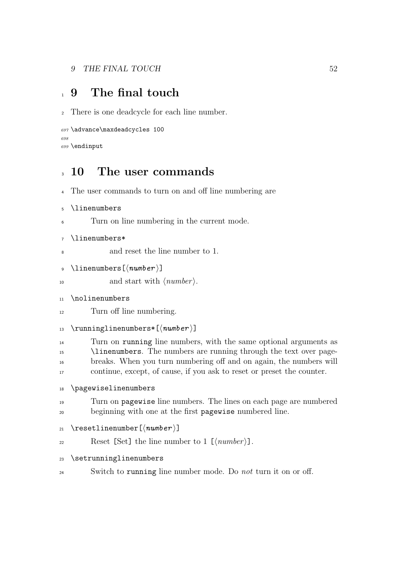# 1 9 The final touch

There is one deadcycle for each line number.

```
697 \advance\maxdeadcycles 100
698
699 \endinput
```
## 10 The user commands

```
4 The user commands to turn on and off line numbering are
```

```
5 \linenumbers
```
Turn on line numbering in the current mode.

```
7 \linenumbers*
```
and reset the line number to 1.

```
9 \linenumbers [\langle number \rangle]
```

```
10 and start with \langle number \rangle.
```
- \nolinenumbers
- Turn off line numbering.

```
13 \runninglinenumbers*[\langle number \rangle]
```
 Turn on running line numbers, with the same optional arguments as 15 \linenumbers. The numbers are running through the text over page- breaks. When you turn numbering off and on again, the numbers will continue, except, of cause, if you ask to reset or preset the counter.

```
18 \pagewiselinenumbers
```

```
19 Turn on pagewise line numbers. The lines on each page are numbered
20 beginning with one at the first pagewise numbered line.
```
- 21 \resetlinenumber  $[\langle number \rangle]$
- $Reset$  [Set] the line number to 1 [ $\langle number \rangle$ ].
- \setrunninglinenumbers
- <sup>24</sup> Switch to running line number mode. Do *not* turn it on or off.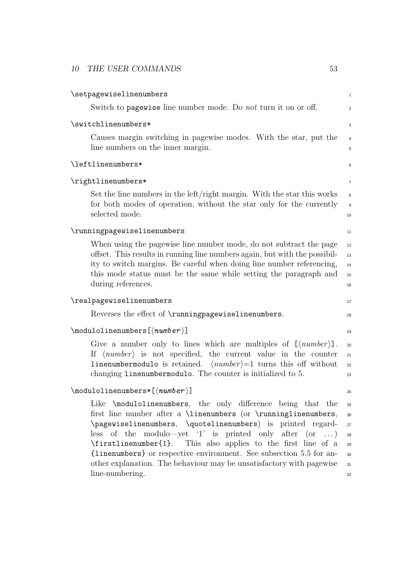| \setpagewiselinenumbers                                                                                                                                                                                                                                                                                                                                                                                                                                                                                | $\mathbf{1}$                                 |
|--------------------------------------------------------------------------------------------------------------------------------------------------------------------------------------------------------------------------------------------------------------------------------------------------------------------------------------------------------------------------------------------------------------------------------------------------------------------------------------------------------|----------------------------------------------|
| Switch to pagewise line number mode. Do not turn it on or off.                                                                                                                                                                                                                                                                                                                                                                                                                                         | $\overline{c}$                               |
| \switchlinenumbers*                                                                                                                                                                                                                                                                                                                                                                                                                                                                                    | 3                                            |
| Causes margin switching in pagewise modes. With the star, put the<br>line numbers on the inner margin.                                                                                                                                                                                                                                                                                                                                                                                                 | $\overline{\mathbf{r}}$<br>5                 |
| \leftlinenumbers*                                                                                                                                                                                                                                                                                                                                                                                                                                                                                      | 6                                            |
| \rightlinenumbers*                                                                                                                                                                                                                                                                                                                                                                                                                                                                                     | 7                                            |
| Set the line numbers in the left/right margin. With the star this works<br>for both modes of operation, without the star only for the currently<br>selected mode.                                                                                                                                                                                                                                                                                                                                      | 8<br>$\overline{9}$<br>10                    |
| \runningpagewiselinenumbers                                                                                                                                                                                                                                                                                                                                                                                                                                                                            | 11                                           |
| When using the pagewise line number mode, do not subtract the page<br>offset. This results in running line numbers again, but with the possibil-<br>ity to switch margins. Be careful when doing line number referencing,<br>this mode status must be the same while setting the paragraph and<br>during references.                                                                                                                                                                                   | 12<br>13<br>14<br>15<br>16                   |
| \realpagewiselinenumbers                                                                                                                                                                                                                                                                                                                                                                                                                                                                               | 17                                           |
| Reverses the effect of \runningpagewiselinenumbers.                                                                                                                                                                                                                                                                                                                                                                                                                                                    | 18                                           |
| $\setminus \mathsf{modulolinenumbers}\left[\langle \mathit{number}\rangle\right]$                                                                                                                                                                                                                                                                                                                                                                                                                      | 19                                           |
| Give a number only to lines which are multiples of $\lfloor \langle number \rangle \rfloor$ .<br>If $\langle number \rangle$ is not specified, the current value in the counter<br><b>linenumbermodulo</b> is retained. $\langle number \rangle = 1$ turns this off without<br>changing linenumbermodulo. The counter is initialized to 5.                                                                                                                                                             | 20<br>21<br>22<br>23                         |
| $\setminus \mathsf{modulolinenumbers}$ ( $\mathsf{number}$ )]                                                                                                                                                                                                                                                                                                                                                                                                                                          | 24                                           |
| Like \modulolinenumbers, the only difference being that the<br>first line number after a $\linenumbers$ (or $\runninglinenumbers$ ,<br>\pagewiselinenumbers, \quotelinenumbers) is printed regard-<br>less of the modulo—yet '1' is printed only after $(or \dots)$<br>\firstlinenumber{1}. This also applies to the first line of a<br>{linenumbers} or respective environment. See subsection 5.5 for an-<br>other explanation. The behaviour may be unsatisfactory with pagewise<br>line-numbering. | 25<br>26<br>27<br>28<br>29<br>30<br>31<br>32 |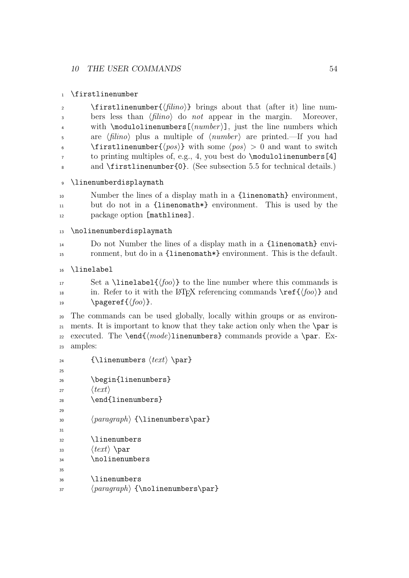```
1 \firstlinenumber
```

| $\overline{2}$ | \firstlinenumber{ $\{filing\}$ } brings about that (after it) line num-                          |
|----------------|--------------------------------------------------------------------------------------------------|
| $\overline{3}$ | bers less than $\langle$ filino $\rangle$ do not appear in the margin. Moreover,                 |
| $\overline{4}$ | with $\mod$ ulolinenumbers $[\langle number \rangle]$ , just the line numbers which              |
| 5              | are $\langle filino \rangle$ plus a multiple of $\langle number \rangle$ are printed.—If you had |
| 6              | \firstlinenumber{ $\langle pos \rangle$ } with some $\langle pos \rangle > 0$ and want to switch |
| $7^{\circ}$    | to printing multiples of, e.g., 4, you best do $\mod$ aloinenumbers [4]                          |
| 8              | and $\frac{\text{firstlinear}}{0}$ . (See subsection 5.5 for technical details.)                 |
|                |                                                                                                  |

<sup>9</sup> \linenumberdisplaymath

<sup>10</sup> Number the lines of a display math in a {linenomath} environment, <sup>11</sup> but do not in a {linenomath\*} environment. This is used by the 12 package option [mathlines].

```
13 \nolinenumberdisplaymath
```

```
14 Do not Number the lines of a display math in a {linenomath} envi-
15 ronment, but do in a {linenomath*} environment. This is the default.
```

```
16 \linelabel
```

```
17 Set a \linelabel{\langle foo \rangle} to the line number where this commands is
<sup>18</sup> in. Refer to it with the LAT<sub>EX</sub> referencing commands \ref{\foo} and
19 \text{pageref}\{\text{loop}\}.
```
<sup>20</sup> The commands can be used globally, locally within groups or as environ- $_{21}$  ments. It is important to know that they take action only when the \par is 22 executed. The \end{ $\langle mode \rangle$ linenumbers} commands provide a \par. Ex-<sup>23</sup> amples:

```
24 \{\lvert \text{elements } \langle text \rangle \}2526 \begin{linenumbers}
27 \langle text \rangle28 \end{linenumbers}
\overline{2}30 \langle paragraph\rangle {\linenumbers\par}
31
32 \linenumbers
\langle \text{text} \rangle \par
34 \nolinenumbers
35
36 \linenumbers
\langle 37 hparagraphi {\nolinenumbers\par}
```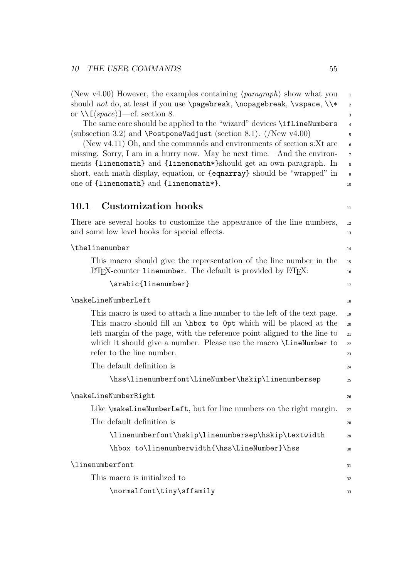(New v4.00) However, the examples containing  $\langle paragraph \rangle$  show what you 1 should not do, at least if you use  $\text{sub}$ ,  $\text{sub}$ ,  $\text{sub}$ ,  $\text{sub}$ ,  $\text{sub}$ or  $\setminus\left[\langle space \rangle\right]$ —cf. section 8. 3

The same care should be applied to the "wizard" devices \ifLineNumbers 4 (subsection 3.2) and  $\Perb{PostponeV}$ adjust (section 8.1). (/New v4.00) 5

(New v4.11) Oh, and the commands and environments of section s: $Xt$  are 6 missing. Sorry, I am in a hurry now. May be next time.—And the environments {linenomath} and {linenomath\*}should get an own paragraph. In 8 short, each math display, equation, or {eqnarray} should be "wrapped" in <sup>9</sup> one of {linenomath} and {linenomath\*}. 10

## 10.1 Customization hooks 11

There are several hooks to customize the appearance of the line numbers, 12 and some low level hooks for special effects.

| \thelinenumber                                                                                        | 14 |  |  |
|-------------------------------------------------------------------------------------------------------|----|--|--|
| This macro should give the representation of the line number in the                                   | 15 |  |  |
| $\Delta E$ FX-counter linenumber. The default is provided by $\Delta E$ F $\Delta E$ :                | 16 |  |  |
| \arabic{linenumber}                                                                                   | 17 |  |  |
| \makeLineNumberLeft                                                                                   |    |  |  |
| This macro is used to attach a line number to the left of the text page.                              | 19 |  |  |
| This macro should fill an \hbox to 0pt which will be placed at the                                    | 20 |  |  |
| left margin of the page, with the reference point aligned to the line to                              | 21 |  |  |
| which it should give a number. Please use the macro <i>LineNumber</i> to<br>refer to the line number. | 22 |  |  |
|                                                                                                       | 23 |  |  |
| The default definition is                                                                             | 24 |  |  |
| \hss\linenumberfont\LineNumber\hskip\linenumbersep                                                    | 25 |  |  |
| \makeLineNumberRight                                                                                  | 26 |  |  |
| Like \makeLineNumberLeft, but for line numbers on the right margin.                                   | 27 |  |  |
| The default definition is                                                                             | 28 |  |  |
| \linenumberfont\hskip\linenumbersep\hskip\textwidth                                                   | 29 |  |  |
| \hbox to\linenumberwidth{\hss\LineNumber}\hss                                                         | 30 |  |  |
| \linenumberfont                                                                                       | 31 |  |  |
| This macro is initialized to                                                                          | 32 |  |  |
| \normalfont\tiny\sffamily                                                                             | 33 |  |  |